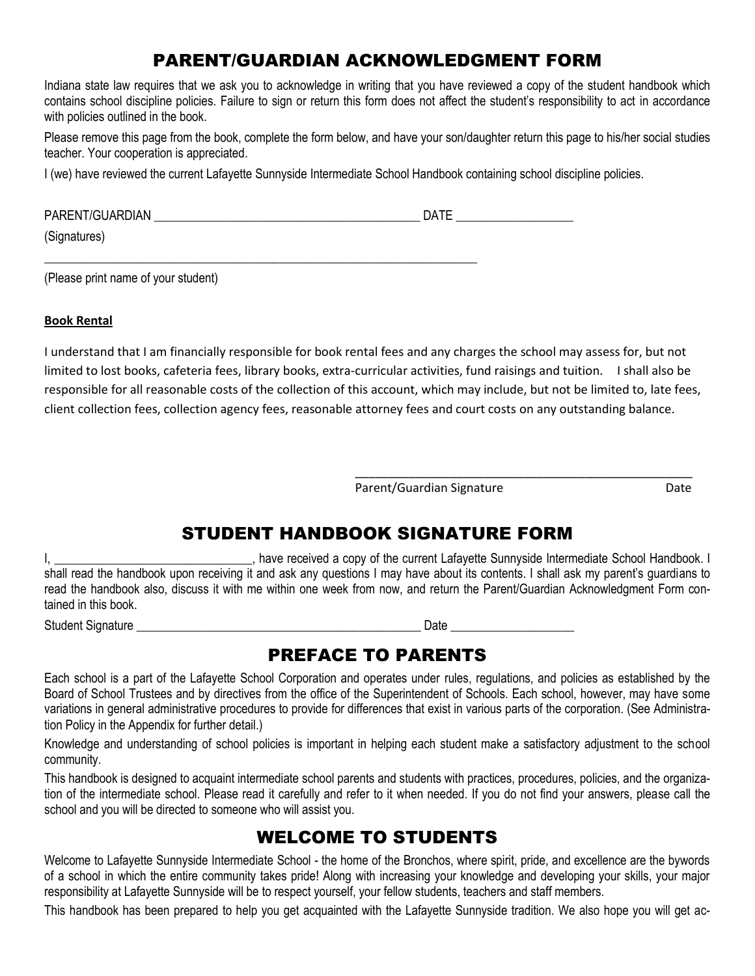# PARENT/GUARDIAN ACKNOWLEDGMENT FORM

Indiana state law requires that we ask you to acknowledge in writing that you have reviewed a copy of the student handbook which contains school discipline policies. Failure to sign or return this form does not affect the student's responsibility to act in accordance with policies outlined in the book.

Please remove this page from the book, complete the form below, and have your son/daughter return this page to his/her social studies teacher. Your cooperation is appreciated.

I (we) have reviewed the current Lafayette Sunnyside Intermediate School Handbook containing school discipline policies.

| <b>PAREN</b><br>. | $-$<br>- |
|-------------------|----------|
|                   |          |

\_\_\_\_\_\_\_\_\_\_\_\_\_\_\_\_\_\_\_\_\_\_\_\_\_\_\_\_\_\_\_\_\_\_\_\_\_\_\_\_\_\_\_\_\_\_\_\_\_\_\_\_\_\_\_\_\_\_\_\_\_\_\_\_\_\_\_\_\_\_

(Signatures)

(Please print name of your student)

#### **Book Rental**

I understand that I am financially responsible for book rental fees and any charges the school may assess for, but not limited to lost books, cafeteria fees, library books, extra-curricular activities, fund raisings and tuition. I shall also be responsible for all reasonable costs of the collection of this account, which may include, but not be limited to, late fees, client collection fees, collection agency fees, reasonable attorney fees and court costs on any outstanding balance.

Parent/Guardian Signature Date

\_\_\_\_\_\_\_\_\_\_\_\_\_\_\_\_\_\_\_\_\_\_\_\_\_\_\_\_\_\_\_\_\_\_\_\_\_\_\_\_\_\_\_\_\_\_\_\_\_\_

# STUDENT HANDBOOK SIGNATURE FORM

I, thave received a copy of the current Lafayette Sunnyside Intermediate School Handbook. I shall read the handbook upon receiving it and ask any questions I may have about its contents. I shall ask my parent's guardians to read the handbook also, discuss it with me within one week from now, and return the Parent/Guardian Acknowledgment Form contained in this book.

Student Signature **Example 2** and the student Signature **Date Date Contract 2** and the student Signature **Contract 2** and the student 3 and the student 3 and the student 3 and the student 3 and the student 3 and the st

# PREFACE TO PARENTS

Each school is a part of the Lafayette School Corporation and operates under rules, regulations, and policies as established by the Board of School Trustees and by directives from the office of the Superintendent of Schools. Each school, however, may have some variations in general administrative procedures to provide for differences that exist in various parts of the corporation. (See Administration Policy in the Appendix for further detail.)

Knowledge and understanding of school policies is important in helping each student make a satisfactory adjustment to the school community.

This handbook is designed to acquaint intermediate school parents and students with practices, procedures, policies, and the organization of the intermediate school. Please read it carefully and refer to it when needed. If you do not find your answers, please call the school and you will be directed to someone who will assist you.

# WELCOME TO STUDENTS

Welcome to Lafayette Sunnyside Intermediate School - the home of the Bronchos, where spirit, pride, and excellence are the bywords of a school in which the entire community takes pride! Along with increasing your knowledge and developing your skills, your major responsibility at Lafayette Sunnyside will be to respect yourself, your fellow students, teachers and staff members.

This handbook has been prepared to help you get acquainted with the Lafayette Sunnyside tradition. We also hope you will get ac-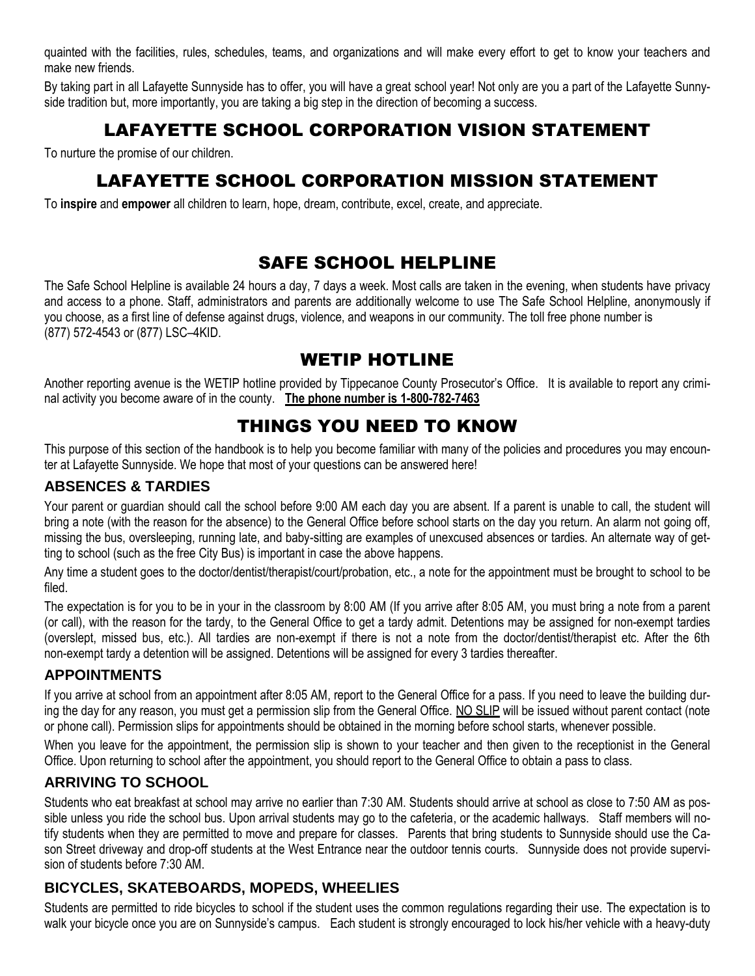quainted with the facilities, rules, schedules, teams, and organizations and will make every effort to get to know your teachers and make new friends.

By taking part in all Lafayette Sunnyside has to offer, you will have a great school year! Not only are you a part of the Lafayette Sunnyside tradition but, more importantly, you are taking a big step in the direction of becoming a success.

# LAFAYETTE SCHOOL CORPORATION VISION STATEMENT

To nurture the promise of our children.

# LAFAYETTE SCHOOL CORPORATION MISSION STATEMENT

To **inspire** and **empower** all children to learn, hope, dream, contribute, excel, create, and appreciate.

# SAFE SCHOOL HELPLINE

The Safe School Helpline is available 24 hours a day, 7 days a week. Most calls are taken in the evening, when students have privacy and access to a phone. Staff, administrators and parents are additionally welcome to use The Safe School Helpline, anonymously if you choose, as a first line of defense against drugs, violence, and weapons in our community. The toll free phone number is (877) 572-4543 or (877) LSC–4KID.

# WETIP HOTLINE

Another reporting avenue is the WETIP hotline provided by Tippecanoe County Prosecutor's Office. It is available to report any criminal activity you become aware of in the county. **The phone number is 1-800-782-7463**

# THINGS YOU NEED TO KNOW

This purpose of this section of the handbook is to help you become familiar with many of the policies and procedures you may encounter at Lafayette Sunnyside. We hope that most of your questions can be answered here!

### **ABSENCES & TARDIES**

Your parent or guardian should call the school before 9:00 AM each day you are absent. If a parent is unable to call, the student will bring a note (with the reason for the absence) to the General Office before school starts on the day you return. An alarm not going off, missing the bus, oversleeping, running late, and baby-sitting are examples of unexcused absences or tardies. An alternate way of getting to school (such as the free City Bus) is important in case the above happens.

Any time a student goes to the doctor/dentist/therapist/court/probation, etc., a note for the appointment must be brought to school to be filed.

The expectation is for you to be in your in the classroom by 8:00 AM (If you arrive after 8:05 AM, you must bring a note from a parent (or call), with the reason for the tardy, to the General Office to get a tardy admit. Detentions may be assigned for non-exempt tardies (overslept, missed bus, etc.). All tardies are non-exempt if there is not a note from the doctor/dentist/therapist etc. After the 6th non-exempt tardy a detention will be assigned. Detentions will be assigned for every 3 tardies thereafter.

#### **APPOINTMENTS**

If you arrive at school from an appointment after 8:05 AM, report to the General Office for a pass. If you need to leave the building during the day for any reason, you must get a permission slip from the General Office. NO SLIP will be issued without parent contact (note or phone call). Permission slips for appointments should be obtained in the morning before school starts, whenever possible.

When you leave for the appointment, the permission slip is shown to your teacher and then given to the receptionist in the General Office. Upon returning to school after the appointment, you should report to the General Office to obtain a pass to class.

## **ARRIVING TO SCHOOL**

Students who eat breakfast at school may arrive no earlier than 7:30 AM. Students should arrive at school as close to 7:50 AM as possible unless you ride the school bus. Upon arrival students may go to the cafeteria, or the academic hallways. Staff members will notify students when they are permitted to move and prepare for classes. Parents that bring students to Sunnyside should use the Cason Street driveway and drop-off students at the West Entrance near the outdoor tennis courts. Sunnyside does not provide supervision of students before 7:30 AM.

# **BICYCLES, SKATEBOARDS, MOPEDS, WHEELIES**

Students are permitted to ride bicycles to school if the student uses the common regulations regarding their use. The expectation is to walk your bicycle once you are on Sunnyside's campus. Each student is strongly encouraged to lock his/her vehicle with a heavy-duty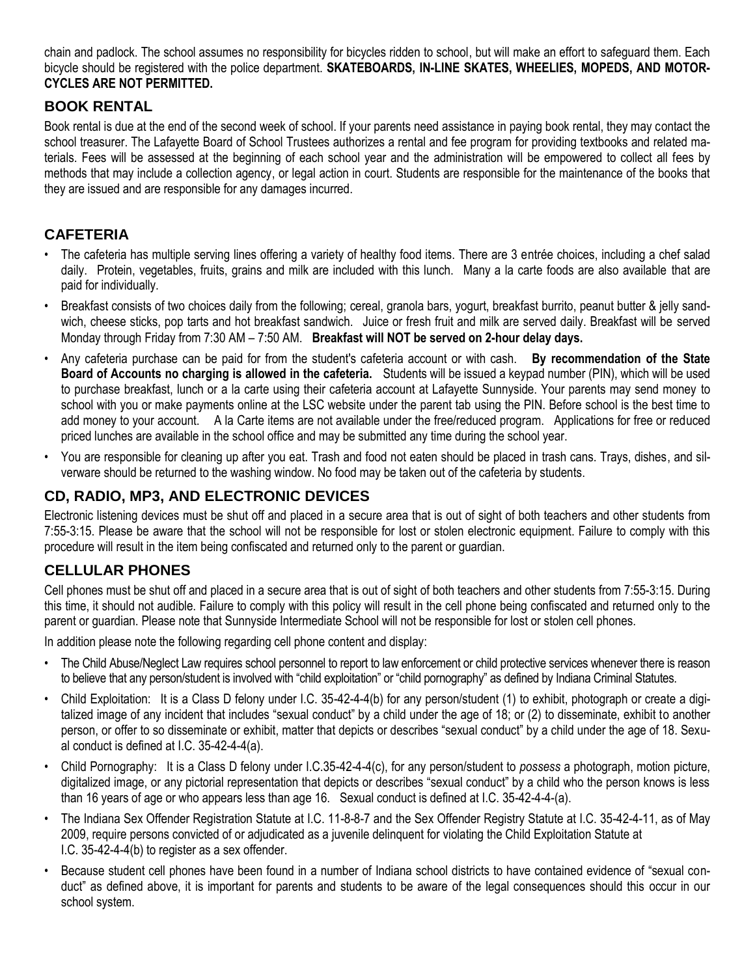chain and padlock. The school assumes no responsibility for bicycles ridden to school, but will make an effort to safeguard them. Each bicycle should be registered with the police department. **SKATEBOARDS, IN-LINE SKATES, WHEELIES, MOPEDS, AND MOTOR-CYCLES ARE NOT PERMITTED.**

### **BOOK RENTAL**

Book rental is due at the end of the second week of school. If your parents need assistance in paying book rental, they may contact the school treasurer. The Lafayette Board of School Trustees authorizes a rental and fee program for providing textbooks and related materials. Fees will be assessed at the beginning of each school year and the administration will be empowered to collect all fees by methods that may include a collection agency, or legal action in court. Students are responsible for the maintenance of the books that they are issued and are responsible for any damages incurred.

## **CAFETERIA**

- The cafeteria has multiple serving lines offering a variety of healthy food items. There are 3 entrée choices, including a chef salad daily. Protein, vegetables, fruits, grains and milk are included with this lunch. Many a la carte foods are also available that are paid for individually.
- Breakfast consists of two choices daily from the following; cereal, granola bars, yogurt, breakfast burrito, peanut butter & jelly sandwich, cheese sticks, pop tarts and hot breakfast sandwich. Juice or fresh fruit and milk are served daily. Breakfast will be served Monday through Friday from 7:30 AM – 7:50 AM. **Breakfast will NOT be served on 2-hour delay days.**
- Any cafeteria purchase can be paid for from the student's cafeteria account or with cash. **By recommendation of the State Board of Accounts no charging is allowed in the cafeteria.** Students will be issued a keypad number (PIN), which will be used to purchase breakfast, lunch or a la carte using their cafeteria account at Lafayette Sunnyside. Your parents may send money to school with you or make payments online at the LSC website under the parent tab using the PIN. Before school is the best time to add money to your account. A la Carte items are not available under the free/reduced program. Applications for free or reduced priced lunches are available in the school office and may be submitted any time during the school year.
- You are responsible for cleaning up after you eat. Trash and food not eaten should be placed in trash cans. Trays, dishes, and silverware should be returned to the washing window. No food may be taken out of the cafeteria by students.

# **CD, RADIO, MP3, AND ELECTRONIC DEVICES**

Electronic listening devices must be shut off and placed in a secure area that is out of sight of both teachers and other students from 7:55-3:15. Please be aware that the school will not be responsible for lost or stolen electronic equipment. Failure to comply with this procedure will result in the item being confiscated and returned only to the parent or guardian.

## **CELLULAR PHONES**

Cell phones must be shut off and placed in a secure area that is out of sight of both teachers and other students from 7:55-3:15. During this time, it should not audible. Failure to comply with this policy will result in the cell phone being confiscated and returned only to the parent or guardian. Please note that Sunnyside Intermediate School will not be responsible for lost or stolen cell phones.

In addition please note the following regarding cell phone content and display:

- The Child Abuse/Neglect Law requires school personnel to report to law enforcement or child protective services whenever there is reason to believe that any person/student is involved with "child exploitation" or "child pornography" as defined by Indiana Criminal Statutes.
- Child Exploitation: It is a Class D felony under I.C. 35-42-4-4(b) for any person/student (1) to exhibit, photograph or create a digitalized image of any incident that includes "sexual conduct" by a child under the age of 18; or (2) to disseminate, exhibit to another person, or offer to so disseminate or exhibit, matter that depicts or describes "sexual conduct" by a child under the age of 18. Sexual conduct is defined at I.C. 35-42-4-4(a).
- Child Pornography: It is a Class D felony under I.C.35-42-4-4(c), for any person/student to *possess* a photograph, motion picture, digitalized image, or any pictorial representation that depicts or describes "sexual conduct" by a child who the person knows is less than 16 years of age or who appears less than age 16. Sexual conduct is defined at I.C. 35-42-4-4-(a).
- The Indiana Sex Offender Registration Statute at I.C. 11-8-8-7 and the Sex Offender Registry Statute at I.C. 35-42-4-11, as of May 2009, require persons convicted of or adjudicated as a juvenile delinquent for violating the Child Exploitation Statute at I.C. 35-42-4-4(b) to register as a sex offender.
- Because student cell phones have been found in a number of Indiana school districts to have contained evidence of "sexual conduct" as defined above, it is important for parents and students to be aware of the legal consequences should this occur in our school system.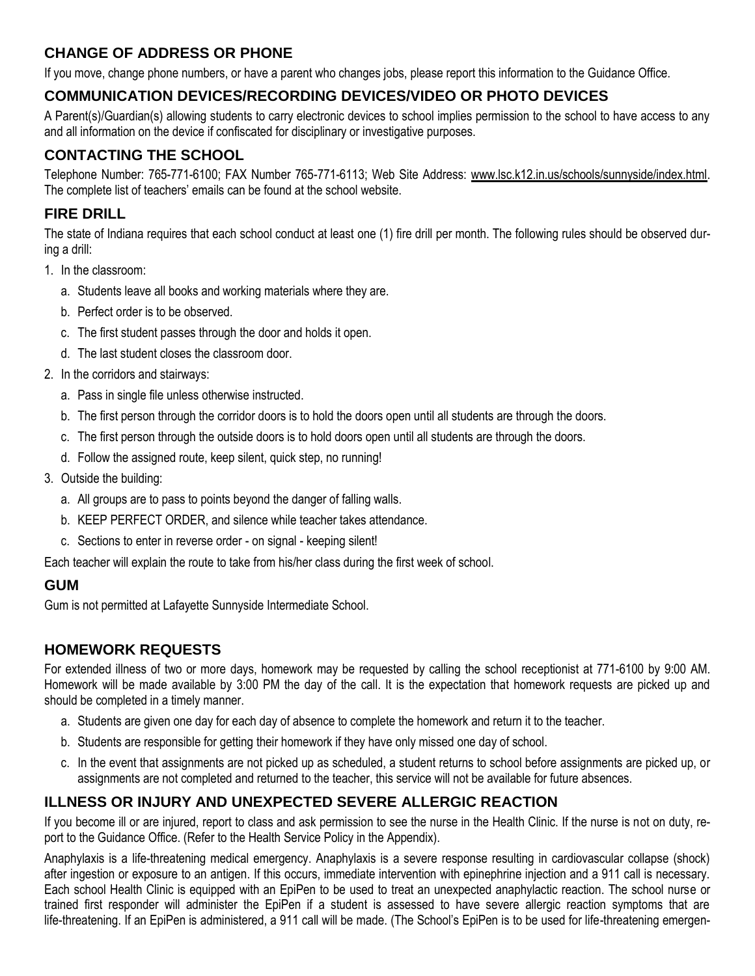# **CHANGE OF ADDRESS OR PHONE**

If you move, change phone numbers, or have a parent who changes jobs, please report this information to the Guidance Office.

## **COMMUNICATION DEVICES/RECORDING DEVICES/VIDEO OR PHOTO DEVICES**

A Parent(s)/Guardian(s) allowing students to carry electronic devices to school implies permission to the school to have access to any and all information on the device if confiscated for disciplinary or investigative purposes.

# **CONTACTING THE SCHOOL**

Telephone Number: 765-771-6100; FAX Number 765-771-6113; Web Site Address: www.lsc.k12.in.us/schools/sunnyside/index.html. The complete list of teachers' emails can be found at the school website.

# **FIRE DRILL**

The state of Indiana requires that each school conduct at least one (1) fire drill per month. The following rules should be observed during a drill:

- 1. In the classroom:
	- a. Students leave all books and working materials where they are.
	- b. Perfect order is to be observed.
	- c. The first student passes through the door and holds it open.
	- d. The last student closes the classroom door.
- 2. In the corridors and stairways:
	- a. Pass in single file unless otherwise instructed.
	- b. The first person through the corridor doors is to hold the doors open until all students are through the doors.
	- c. The first person through the outside doors is to hold doors open until all students are through the doors.
	- d. Follow the assigned route, keep silent, quick step, no running!
- 3. Outside the building:
	- a. All groups are to pass to points beyond the danger of falling walls.
	- b. KEEP PERFECT ORDER, and silence while teacher takes attendance.
	- c. Sections to enter in reverse order on signal keeping silent!

Each teacher will explain the route to take from his/her class during the first week of school.

## **GUM**

Gum is not permitted at Lafayette Sunnyside Intermediate School.

## **HOMEWORK REQUESTS**

For extended illness of two or more days, homework may be requested by calling the school receptionist at 771-6100 by 9:00 AM. Homework will be made available by 3:00 PM the day of the call. It is the expectation that homework requests are picked up and should be completed in a timely manner.

- a. Students are given one day for each day of absence to complete the homework and return it to the teacher.
- b. Students are responsible for getting their homework if they have only missed one day of school.
- c. In the event that assignments are not picked up as scheduled, a student returns to school before assignments are picked up, or assignments are not completed and returned to the teacher, this service will not be available for future absences.

## **ILLNESS OR INJURY AND UNEXPECTED SEVERE ALLERGIC REACTION**

If you become ill or are injured, report to class and ask permission to see the nurse in the Health Clinic. If the nurse is not on duty, report to the Guidance Office. (Refer to the Health Service Policy in the Appendix).

Anaphylaxis is a life-threatening medical emergency. Anaphylaxis is a severe response resulting in cardiovascular collapse (shock) after ingestion or exposure to an antigen. If this occurs, immediate intervention with epinephrine injection and a 911 call is necessary. Each school Health Clinic is equipped with an EpiPen to be used to treat an unexpected anaphylactic reaction. The school nurse or trained first responder will administer the EpiPen if a student is assessed to have severe allergic reaction symptoms that are life-threatening. If an EpiPen is administered, a 911 call will be made. (The School's EpiPen is to be used for life-threatening emergen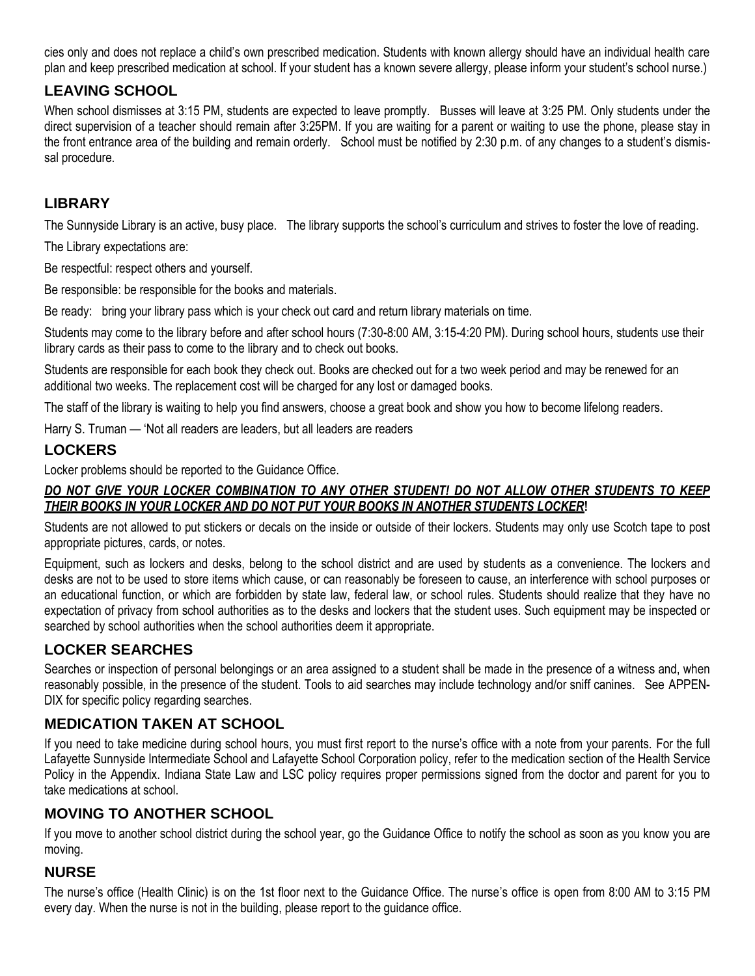cies only and does not replace a child's own prescribed medication. Students with known allergy should have an individual health care plan and keep prescribed medication at school. If your student has a known severe allergy, please inform your student's school nurse.)

## **LEAVING SCHOOL**

When school dismisses at 3:15 PM, students are expected to leave promptly. Busses will leave at 3:25 PM. Only students under the direct supervision of a teacher should remain after 3:25PM. If you are waiting for a parent or waiting to use the phone, please stay in the front entrance area of the building and remain orderly. School must be notified by 2:30 p.m. of any changes to a student's dismissal procedure.

## **LIBRARY**

The Sunnyside Library is an active, busy place. The library supports the school's curriculum and strives to foster the love of reading.

The Library expectations are:

Be respectful: respect others and yourself.

Be responsible: be responsible for the books and materials.

Be ready: bring your library pass which is your check out card and return library materials on time.

Students may come to the library before and after school hours (7:30-8:00 AM, 3:15-4:20 PM). During school hours, students use their library cards as their pass to come to the library and to check out books.

Students are responsible for each book they check out. Books are checked out for a two week period and may be renewed for an additional two weeks. The replacement cost will be charged for any lost or damaged books.

The staff of the library is waiting to help you find answers, choose a great book and show you how to become lifelong readers.

Harry S. Truman — 'Not all readers are leaders, but all leaders are readers

## **LOCKERS**

Locker problems should be reported to the Guidance Office.

#### *DO NOT GIVE YOUR LOCKER COMBINATION TO ANY OTHER STUDENT! DO NOT ALLOW OTHER STUDENTS TO KEEP THEIR BOOKS IN YOUR LOCKER AND DO NOT PUT YOUR BOOKS IN ANOTHER STUDENTS LOCKER***!**

Students are not allowed to put stickers or decals on the inside or outside of their lockers. Students may only use Scotch tape to post appropriate pictures, cards, or notes.

Equipment, such as lockers and desks, belong to the school district and are used by students as a convenience. The lockers and desks are not to be used to store items which cause, or can reasonably be foreseen to cause, an interference with school purposes or an educational function, or which are forbidden by state law, federal law, or school rules. Students should realize that they have no expectation of privacy from school authorities as to the desks and lockers that the student uses. Such equipment may be inspected or searched by school authorities when the school authorities deem it appropriate.

# **LOCKER SEARCHES**

Searches or inspection of personal belongings or an area assigned to a student shall be made in the presence of a witness and, when reasonably possible, in the presence of the student. Tools to aid searches may include technology and/or sniff canines. See APPEN-DIX for specific policy regarding searches.

# **MEDICATION TAKEN AT SCHOOL**

If you need to take medicine during school hours, you must first report to the nurse's office with a note from your parents. For the full Lafayette Sunnyside Intermediate School and Lafayette School Corporation policy, refer to the medication section of the Health Service Policy in the Appendix. Indiana State Law and LSC policy requires proper permissions signed from the doctor and parent for you to take medications at school.

## **MOVING TO ANOTHER SCHOOL**

If you move to another school district during the school year, go the Guidance Office to notify the school as soon as you know you are moving.

## **NURSE**

The nurse's office (Health Clinic) is on the 1st floor next to the Guidance Office. The nurse's office is open from 8:00 AM to 3:15 PM every day. When the nurse is not in the building, please report to the guidance office.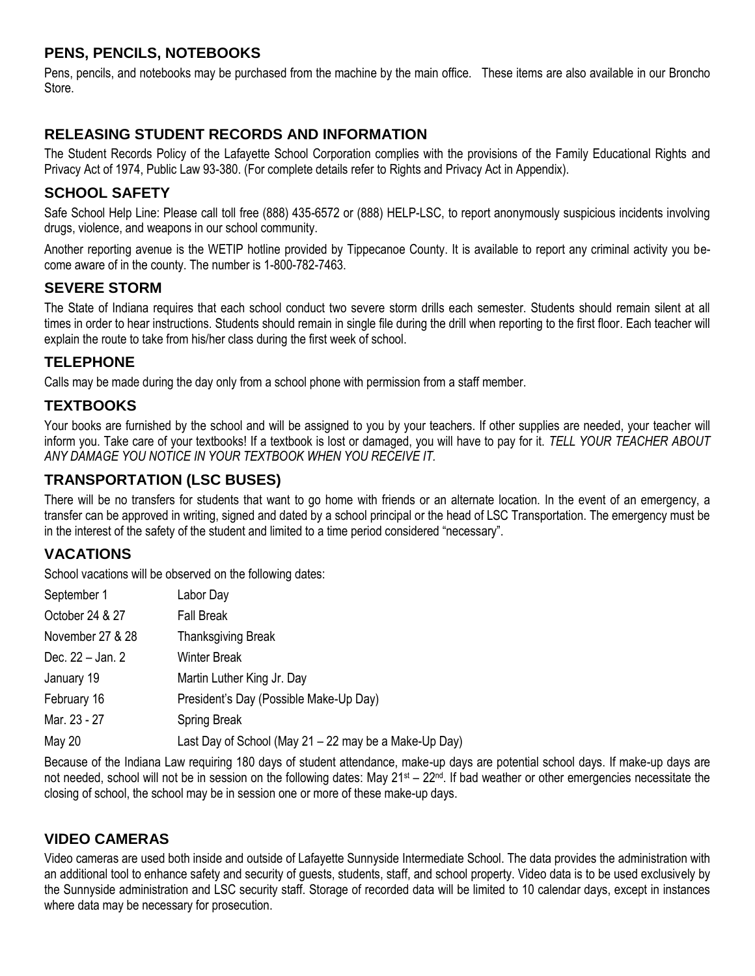## **PENS, PENCILS, NOTEBOOKS**

Pens, pencils, and notebooks may be purchased from the machine by the main office. These items are also available in our Broncho Store.

## **RELEASING STUDENT RECORDS AND INFORMATION**

The Student Records Policy of the Lafayette School Corporation complies with the provisions of the Family Educational Rights and Privacy Act of 1974, Public Law 93-380. (For complete details refer to Rights and Privacy Act in Appendix).

## **SCHOOL SAFETY**

Safe School Help Line: Please call toll free (888) 435-6572 or (888) HELP-LSC, to report anonymously suspicious incidents involving drugs, violence, and weapons in our school community.

Another reporting avenue is the WETIP hotline provided by Tippecanoe County. It is available to report any criminal activity you become aware of in the county. The number is 1-800-782-7463.

### **SEVERE STORM**

The State of Indiana requires that each school conduct two severe storm drills each semester. Students should remain silent at all times in order to hear instructions. Students should remain in single file during the drill when reporting to the first floor. Each teacher will explain the route to take from his/her class during the first week of school.

### **TELEPHONE**

Calls may be made during the day only from a school phone with permission from a staff member.

## **TEXTBOOKS**

Your books are furnished by the school and will be assigned to you by your teachers. If other supplies are needed, your teacher will inform you. Take care of your textbooks! If a textbook is lost or damaged, you will have to pay for it. *TELL YOUR TEACHER ABOUT ANY DAMAGE YOU NOTICE IN YOUR TEXTBOOK WHEN YOU RECEIVE IT.*

## **TRANSPORTATION (LSC BUSES)**

There will be no transfers for students that want to go home with friends or an alternate location. In the event of an emergency, a transfer can be approved in writing, signed and dated by a school principal or the head of LSC Transportation. The emergency must be in the interest of the safety of the student and limited to a time period considered "necessary".

## **VACATIONS**

School vacations will be observed on the following dates:

| September 1      | Labor Day                                             |
|------------------|-------------------------------------------------------|
| October 24 & 27  | <b>Fall Break</b>                                     |
| November 27 & 28 | <b>Thanksgiving Break</b>                             |
| Dec. 22 - Jan. 2 | <b>Winter Break</b>                                   |
| January 19       | Martin Luther King Jr. Day                            |
| February 16      | President's Day (Possible Make-Up Day)                |
| Mar. 23 - 27     | <b>Spring Break</b>                                   |
| May 20           | Last Day of School (May 21 - 22 may be a Make-Up Day) |

Because of the Indiana Law requiring 180 days of student attendance, make-up days are potential school days. If make-up days are not needed, school will not be in session on the following dates: May 21<sup>st</sup> – 22<sup>nd</sup>. If bad weather or other emergencies necessitate the closing of school, the school may be in session one or more of these make-up days.

## **VIDEO CAMERAS**

Video cameras are used both inside and outside of Lafayette Sunnyside Intermediate School. The data provides the administration with an additional tool to enhance safety and security of guests, students, staff, and school property. Video data is to be used exclusively by the Sunnyside administration and LSC security staff. Storage of recorded data will be limited to 10 calendar days, except in instances where data may be necessary for prosecution.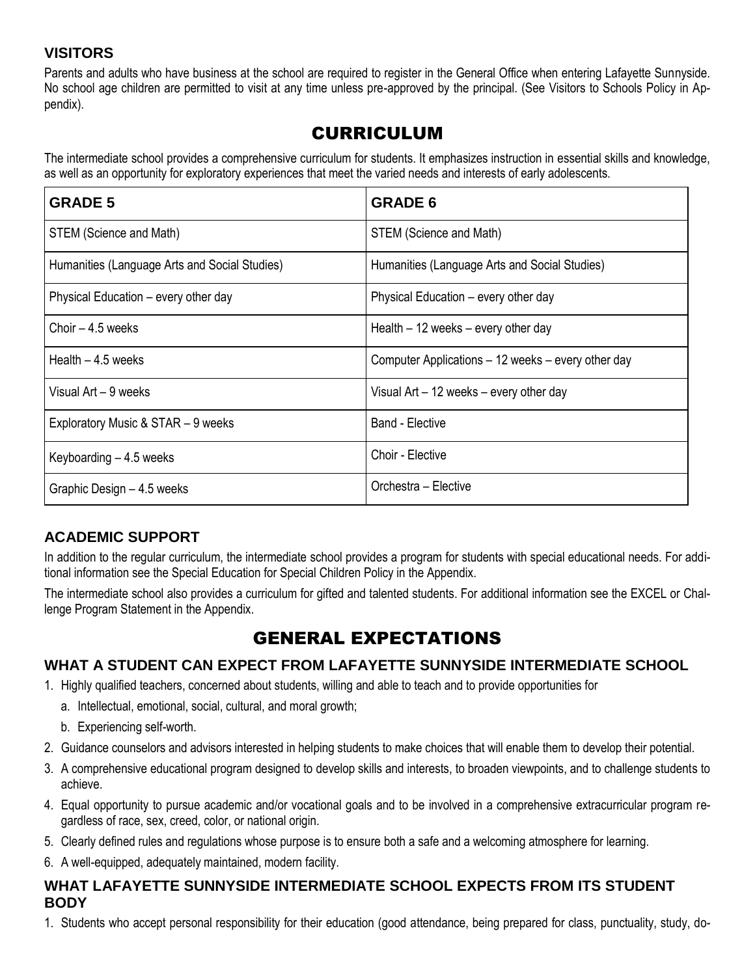## **VISITORS**

Parents and adults who have business at the school are required to register in the General Office when entering Lafayette Sunnyside. No school age children are permitted to visit at any time unless pre-approved by the principal. (See Visitors to Schools Policy in Appendix).

# CURRICULUM

The intermediate school provides a comprehensive curriculum for students. It emphasizes instruction in essential skills and knowledge, as well as an opportunity for exploratory experiences that meet the varied needs and interests of early adolescents.

| <b>GRADE 5</b>                                | <b>GRADE 6</b>                                     |  |
|-----------------------------------------------|----------------------------------------------------|--|
| STEM (Science and Math)                       | STEM (Science and Math)                            |  |
| Humanities (Language Arts and Social Studies) | Humanities (Language Arts and Social Studies)      |  |
| Physical Education – every other day          | Physical Education – every other day               |  |
| Choir – 4.5 weeks                             | Health $-12$ weeks $-$ every other day             |  |
| Health $-4.5$ weeks                           | Computer Applications - 12 weeks - every other day |  |
| Visual Art - 9 weeks                          | Visual Art $-12$ weeks $-$ every other day         |  |
| Exploratory Music & STAR - 9 weeks            | Band - Elective                                    |  |
| Keyboarding $-4.5$ weeks                      | Choir - Elective                                   |  |
| Graphic Design - 4.5 weeks                    | Orchestra – Elective                               |  |

# **ACADEMIC SUPPORT**

In addition to the regular curriculum, the intermediate school provides a program for students with special educational needs. For additional information see the Special Education for Special Children Policy in the Appendix.

The intermediate school also provides a curriculum for gifted and talented students. For additional information see the EXCEL or Challenge Program Statement in the Appendix.

# GENERAL EXPECTATIONS

# **WHAT A STUDENT CAN EXPECT FROM LAFAYETTE SUNNYSIDE INTERMEDIATE SCHOOL**

- 1. Highly qualified teachers, concerned about students, willing and able to teach and to provide opportunities for
	- a. Intellectual, emotional, social, cultural, and moral growth;
	- b. Experiencing self-worth.
- 2. Guidance counselors and advisors interested in helping students to make choices that will enable them to develop their potential.
- 3. A comprehensive educational program designed to develop skills and interests, to broaden viewpoints, and to challenge students to achieve.
- 4. Equal opportunity to pursue academic and/or vocational goals and to be involved in a comprehensive extracurricular program regardless of race, sex, creed, color, or national origin.
- 5. Clearly defined rules and regulations whose purpose is to ensure both a safe and a welcoming atmosphere for learning.
- 6. A well-equipped, adequately maintained, modern facility.

### **WHAT LAFAYETTE SUNNYSIDE INTERMEDIATE SCHOOL EXPECTS FROM ITS STUDENT BODY**

1. Students who accept personal responsibility for their education (good attendance, being prepared for class, punctuality, study, do-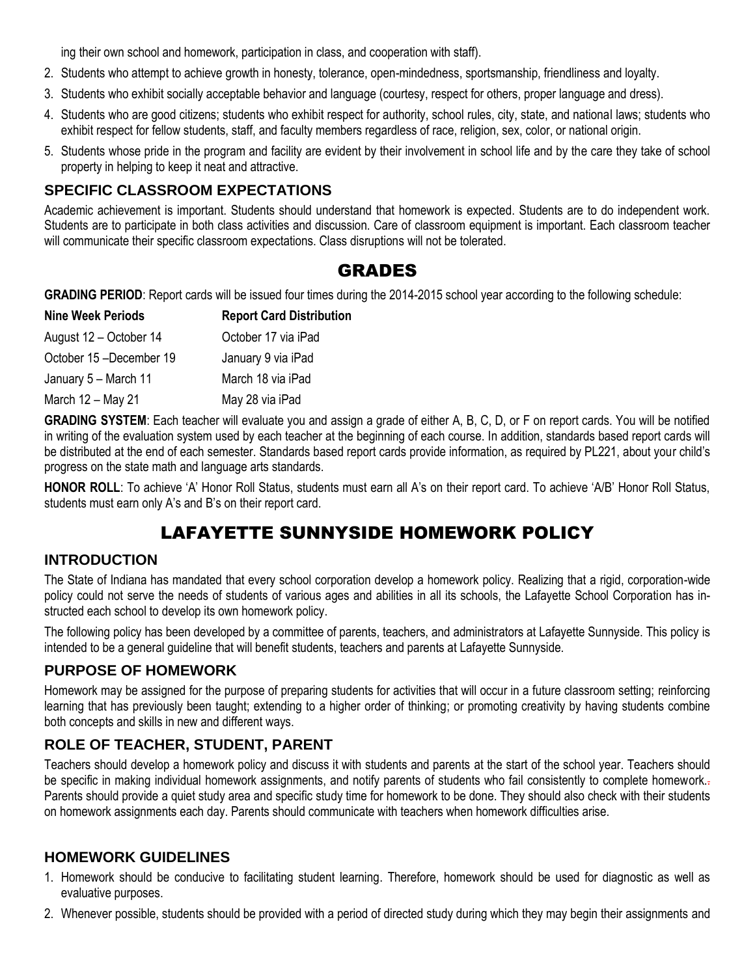ing their own school and homework, participation in class, and cooperation with staff).

- 2. Students who attempt to achieve growth in honesty, tolerance, open-mindedness, sportsmanship, friendliness and loyalty.
- 3. Students who exhibit socially acceptable behavior and language (courtesy, respect for others, proper language and dress).
- 4. Students who are good citizens; students who exhibit respect for authority, school rules, city, state, and national laws; students who exhibit respect for fellow students, staff, and faculty members regardless of race, religion, sex, color, or national origin.
- 5. Students whose pride in the program and facility are evident by their involvement in school life and by the care they take of school property in helping to keep it neat and attractive.

### **SPECIFIC CLASSROOM EXPECTATIONS**

Academic achievement is important. Students should understand that homework is expected. Students are to do independent work. Students are to participate in both class activities and discussion. Care of classroom equipment is important. Each classroom teacher will communicate their specific classroom expectations. Class disruptions will not be tolerated.

# GRADES

**GRADING PERIOD**: Report cards will be issued four times during the 2014-2015 school year according to the following schedule:

| <b>Nine Week Periods</b> | <b>Report Card Distribution</b> |  |
|--------------------------|---------------------------------|--|
| August 12 - October 14   | October 17 via iPad             |  |
| October 15-December 19   | January 9 via iPad              |  |
| January 5 - March 11     | March 18 via iPad               |  |
| March 12 - May 21        | May 28 via iPad                 |  |

**GRADING SYSTEM**: Each teacher will evaluate you and assign a grade of either A, B, C, D, or F on report cards. You will be notified in writing of the evaluation system used by each teacher at the beginning of each course. In addition, standards based report cards will be distributed at the end of each semester. Standards based report cards provide information, as required by PL221, about your child's progress on the state math and language arts standards.

**HONOR ROLL**: To achieve 'A' Honor Roll Status, students must earn all A's on their report card. To achieve 'A/B' Honor Roll Status, students must earn only A's and B's on their report card.

# LAFAYETTE SUNNYSIDE HOMEWORK POLICY

#### **INTRODUCTION**

The State of Indiana has mandated that every school corporation develop a homework policy. Realizing that a rigid, corporation-wide policy could not serve the needs of students of various ages and abilities in all its schools, the Lafayette School Corporation has instructed each school to develop its own homework policy.

The following policy has been developed by a committee of parents, teachers, and administrators at Lafayette Sunnyside. This policy is intended to be a general guideline that will benefit students, teachers and parents at Lafayette Sunnyside.

# **PURPOSE OF HOMEWORK**

Homework may be assigned for the purpose of preparing students for activities that will occur in a future classroom setting; reinforcing learning that has previously been taught; extending to a higher order of thinking; or promoting creativity by having students combine both concepts and skills in new and different ways.

# **ROLE OF TEACHER, STUDENT, PARENT**

Teachers should develop a homework policy and discuss it with students and parents at the start of the school year. Teachers should be specific in making individual homework assignments, and notify parents of students who fail consistently to complete homework. Parents should provide a quiet study area and specific study time for homework to be done. They should also check with their students on homework assignments each day. Parents should communicate with teachers when homework difficulties arise.

#### **HOMEWORK GUIDELINES**

- 1. Homework should be conducive to facilitating student learning. Therefore, homework should be used for diagnostic as well as evaluative purposes.
- 2. Whenever possible, students should be provided with a period of directed study during which they may begin their assignments and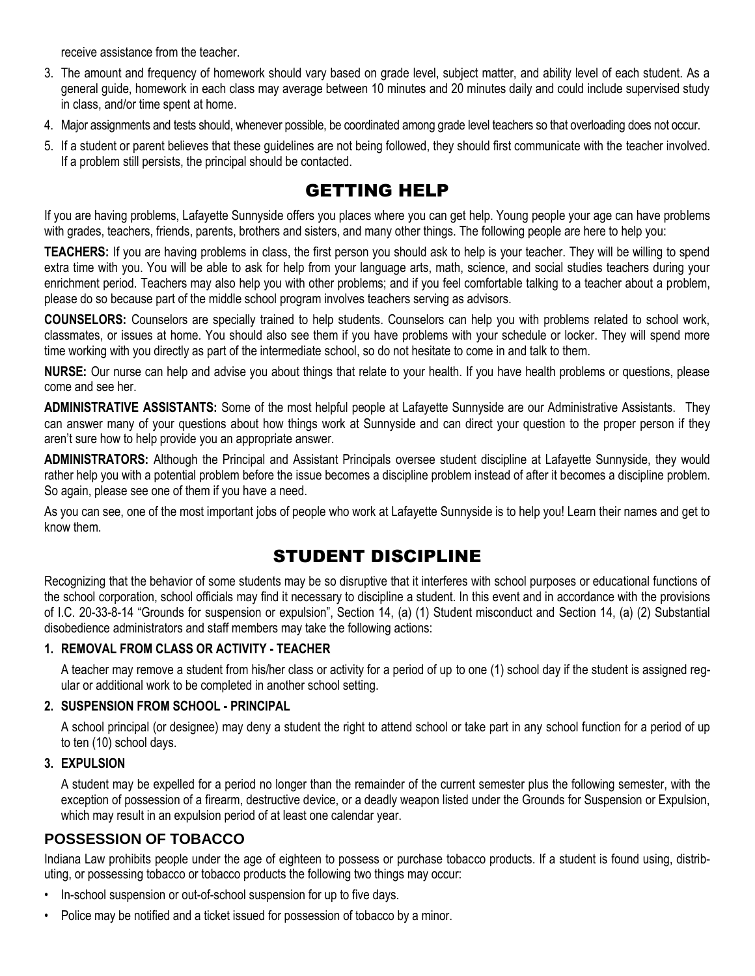receive assistance from the teacher.

- 3. The amount and frequency of homework should vary based on grade level, subject matter, and ability level of each student. As a general guide, homework in each class may average between 10 minutes and 20 minutes daily and could include supervised study in class, and/or time spent at home.
- 4. Major assignments and tests should, whenever possible, be coordinated among grade level teachers so that overloading does not occur.
- 5. If a student or parent believes that these guidelines are not being followed, they should first communicate with the teacher involved. If a problem still persists, the principal should be contacted.

# GETTING HELP

If you are having problems, Lafayette Sunnyside offers you places where you can get help. Young people your age can have problems with grades, teachers, friends, parents, brothers and sisters, and many other things. The following people are here to help you:

**TEACHERS:** If you are having problems in class, the first person you should ask to help is your teacher. They will be willing to spend extra time with you. You will be able to ask for help from your language arts, math, science, and social studies teachers during your enrichment period. Teachers may also help you with other problems; and if you feel comfortable talking to a teacher about a problem, please do so because part of the middle school program involves teachers serving as advisors.

**COUNSELORS:** Counselors are specially trained to help students. Counselors can help you with problems related to school work, classmates, or issues at home. You should also see them if you have problems with your schedule or locker. They will spend more time working with you directly as part of the intermediate school, so do not hesitate to come in and talk to them.

**NURSE:** Our nurse can help and advise you about things that relate to your health. If you have health problems or questions, please come and see her.

**ADMINISTRATIVE ASSISTANTS:** Some of the most helpful people at Lafayette Sunnyside are our Administrative Assistants. They can answer many of your questions about how things work at Sunnyside and can direct your question to the proper person if they aren't sure how to help provide you an appropriate answer.

**ADMINISTRATORS:** Although the Principal and Assistant Principals oversee student discipline at Lafayette Sunnyside, they would rather help you with a potential problem before the issue becomes a discipline problem instead of after it becomes a discipline problem. So again, please see one of them if you have a need.

As you can see, one of the most important jobs of people who work at Lafayette Sunnyside is to help you! Learn their names and get to know them.

# STUDENT DISCIPLINE

Recognizing that the behavior of some students may be so disruptive that it interferes with school purposes or educational functions of the school corporation, school officials may find it necessary to discipline a student. In this event and in accordance with the provisions of I.C. 20-33-8-14 "Grounds for suspension or expulsion", Section 14, (a) (1) Student misconduct and Section 14, (a) (2) Substantial disobedience administrators and staff members may take the following actions:

#### **1. REMOVAL FROM CLASS OR ACTIVITY - TEACHER**

A teacher may remove a student from his/her class or activity for a period of up to one (1) school day if the student is assigned regular or additional work to be completed in another school setting.

#### **2. SUSPENSION FROM SCHOOL - PRINCIPAL**

A school principal (or designee) may deny a student the right to attend school or take part in any school function for a period of up to ten (10) school days.

#### **3. EXPULSION**

A student may be expelled for a period no longer than the remainder of the current semester plus the following semester, with the exception of possession of a firearm, destructive device, or a deadly weapon listed under the Grounds for Suspension or Expulsion, which may result in an expulsion period of at least one calendar year.

## **POSSESSION OF TOBACCO**

Indiana Law prohibits people under the age of eighteen to possess or purchase tobacco products. If a student is found using, distributing, or possessing tobacco or tobacco products the following two things may occur:

- In-school suspension or out-of-school suspension for up to five days.
- Police may be notified and a ticket issued for possession of tobacco by a minor.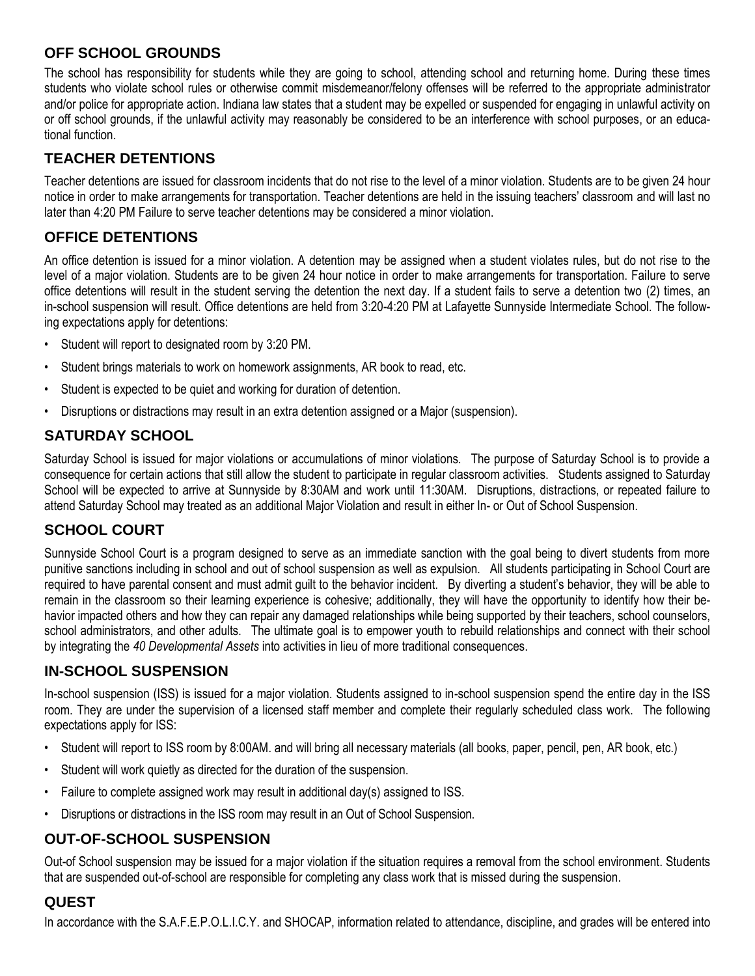# **OFF SCHOOL GROUNDS**

The school has responsibility for students while they are going to school, attending school and returning home. During these times students who violate school rules or otherwise commit misdemeanor/felony offenses will be referred to the appropriate administrator and/or police for appropriate action. Indiana law states that a student may be expelled or suspended for engaging in unlawful activity on or off school grounds, if the unlawful activity may reasonably be considered to be an interference with school purposes, or an educational function.

## **TEACHER DETENTIONS**

Teacher detentions are issued for classroom incidents that do not rise to the level of a minor violation. Students are to be given 24 hour notice in order to make arrangements for transportation. Teacher detentions are held in the issuing teachers' classroom and will last no later than 4:20 PM Failure to serve teacher detentions may be considered a minor violation.

# **OFFICE DETENTIONS**

An office detention is issued for a minor violation. A detention may be assigned when a student violates rules, but do not rise to the level of a major violation. Students are to be given 24 hour notice in order to make arrangements for transportation. Failure to serve office detentions will result in the student serving the detention the next day. If a student fails to serve a detention two (2) times, an in-school suspension will result. Office detentions are held from 3:20-4:20 PM at Lafayette Sunnyside Intermediate School. The following expectations apply for detentions:

- Student will report to designated room by 3:20 PM.
- Student brings materials to work on homework assignments, AR book to read, etc.
- Student is expected to be quiet and working for duration of detention.
- Disruptions or distractions may result in an extra detention assigned or a Major (suspension).

# **SATURDAY SCHOOL**

Saturday School is issued for major violations or accumulations of minor violations. The purpose of Saturday School is to provide a consequence for certain actions that still allow the student to participate in regular classroom activities. Students assigned to Saturday School will be expected to arrive at Sunnyside by 8:30AM and work until 11:30AM. Disruptions, distractions, or repeated failure to attend Saturday School may treated as an additional Major Violation and result in either In- or Out of School Suspension.

# **SCHOOL COURT**

Sunnyside School Court is a program designed to serve as an immediate sanction with the goal being to divert students from more punitive sanctions including in school and out of school suspension as well as expulsion. All students participating in School Court are required to have parental consent and must admit guilt to the behavior incident. By diverting a student's behavior, they will be able to remain in the classroom so their learning experience is cohesive; additionally, they will have the opportunity to identify how their behavior impacted others and how they can repair any damaged relationships while being supported by their teachers, school counselors, school administrators, and other adults. The ultimate goal is to empower youth to rebuild relationships and connect with their school by integrating the *40 Developmental Assets* into activities in lieu of more traditional consequences.

# **IN-SCHOOL SUSPENSION**

In-school suspension (ISS) is issued for a major violation. Students assigned to in-school suspension spend the entire day in the ISS room. They are under the supervision of a licensed staff member and complete their regularly scheduled class work. The following expectations apply for ISS:

- Student will report to ISS room by 8:00AM. and will bring all necessary materials (all books, paper, pencil, pen, AR book, etc.)
- Student will work quietly as directed for the duration of the suspension.
- Failure to complete assigned work may result in additional day(s) assigned to ISS.
- Disruptions or distractions in the ISS room may result in an Out of School Suspension.

# **OUT-OF-SCHOOL SUSPENSION**

Out-of School suspension may be issued for a major violation if the situation requires a removal from the school environment. Students that are suspended out-of-school are responsible for completing any class work that is missed during the suspension.

# **QUEST**

In accordance with the S.A.F.E.P.O.L.I.C.Y. and SHOCAP, information related to attendance, discipline, and grades will be entered into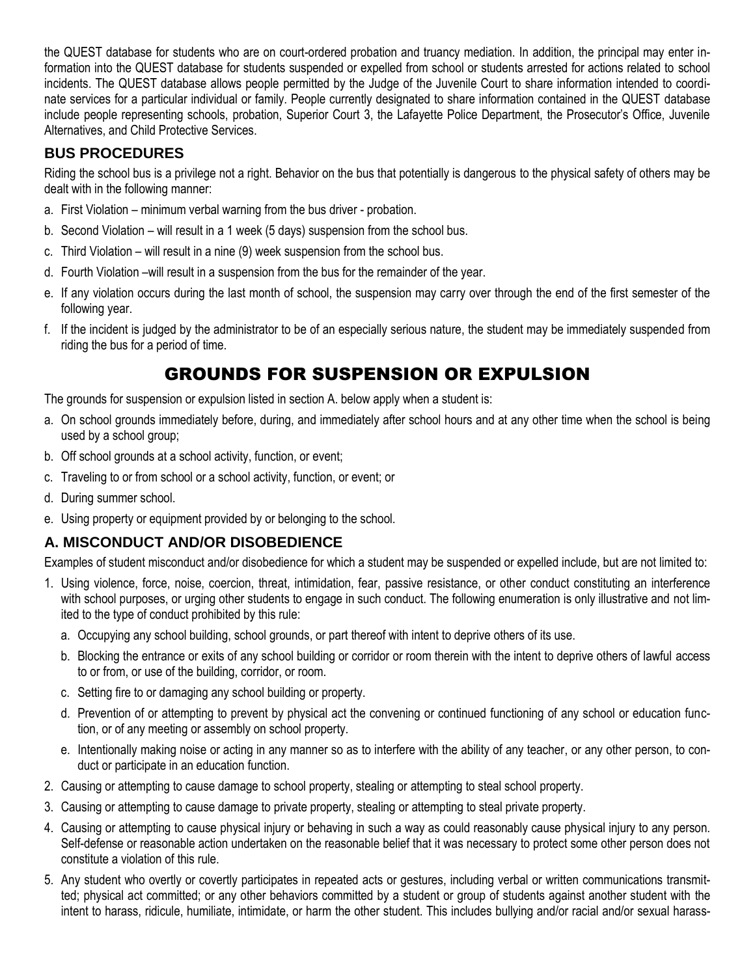the QUEST database for students who are on court-ordered probation and truancy mediation. In addition, the principal may enter information into the QUEST database for students suspended or expelled from school or students arrested for actions related to school incidents. The QUEST database allows people permitted by the Judge of the Juvenile Court to share information intended to coordinate services for a particular individual or family. People currently designated to share information contained in the QUEST database include people representing schools, probation, Superior Court 3, the Lafayette Police Department, the Prosecutor's Office, Juvenile Alternatives, and Child Protective Services.

## **BUS PROCEDURES**

Riding the school bus is a privilege not a right. Behavior on the bus that potentially is dangerous to the physical safety of others may be dealt with in the following manner:

- a. First Violation minimum verbal warning from the bus driver probation.
- b. Second Violation will result in a 1 week (5 days) suspension from the school bus.
- c. Third Violation will result in a nine (9) week suspension from the school bus.
- d. Fourth Violation –will result in a suspension from the bus for the remainder of the year.
- e. If any violation occurs during the last month of school, the suspension may carry over through the end of the first semester of the following year.
- f. If the incident is judged by the administrator to be of an especially serious nature, the student may be immediately suspended from riding the bus for a period of time.

# GROUNDS FOR SUSPENSION OR EXPULSION

The grounds for suspension or expulsion listed in section A. below apply when a student is:

- a. On school grounds immediately before, during, and immediately after school hours and at any other time when the school is being used by a school group;
- b. Off school grounds at a school activity, function, or event;
- c. Traveling to or from school or a school activity, function, or event; or
- d. During summer school.
- e. Using property or equipment provided by or belonging to the school.

## **A. MISCONDUCT AND/OR DISOBEDIENCE**

Examples of student misconduct and/or disobedience for which a student may be suspended or expelled include, but are not limited to:

- 1. Using violence, force, noise, coercion, threat, intimidation, fear, passive resistance, or other conduct constituting an interference with school purposes, or urging other students to engage in such conduct. The following enumeration is only illustrative and not limited to the type of conduct prohibited by this rule:
	- a. Occupying any school building, school grounds, or part thereof with intent to deprive others of its use.
	- b. Blocking the entrance or exits of any school building or corridor or room therein with the intent to deprive others of lawful access to or from, or use of the building, corridor, or room.
	- c. Setting fire to or damaging any school building or property.
	- d. Prevention of or attempting to prevent by physical act the convening or continued functioning of any school or education function, or of any meeting or assembly on school property.
	- e. Intentionally making noise or acting in any manner so as to interfere with the ability of any teacher, or any other person, to conduct or participate in an education function.
- 2. Causing or attempting to cause damage to school property, stealing or attempting to steal school property.
- 3. Causing or attempting to cause damage to private property, stealing or attempting to steal private property.
- 4. Causing or attempting to cause physical injury or behaving in such a way as could reasonably cause physical injury to any person. Self-defense or reasonable action undertaken on the reasonable belief that it was necessary to protect some other person does not constitute a violation of this rule.
- 5. Any student who overtly or covertly participates in repeated acts or gestures, including verbal or written communications transmitted; physical act committed; or any other behaviors committed by a student or group of students against another student with the intent to harass, ridicule, humiliate, intimidate, or harm the other student. This includes bullying and/or racial and/or sexual harass-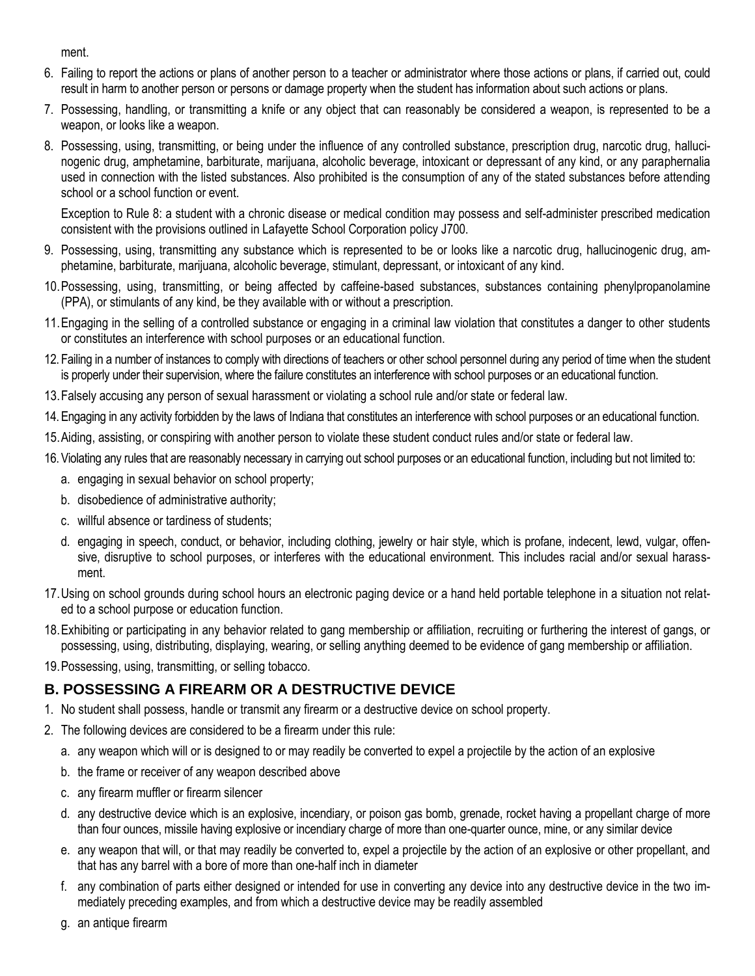ment.

- 6. Failing to report the actions or plans of another person to a teacher or administrator where those actions or plans, if carried out, could result in harm to another person or persons or damage property when the student has information about such actions or plans.
- 7. Possessing, handling, or transmitting a knife or any object that can reasonably be considered a weapon, is represented to be a weapon, or looks like a weapon.
- 8. Possessing, using, transmitting, or being under the influence of any controlled substance, prescription drug, narcotic drug, hallucinogenic drug, amphetamine, barbiturate, marijuana, alcoholic beverage, intoxicant or depressant of any kind, or any paraphernalia used in connection with the listed substances. Also prohibited is the consumption of any of the stated substances before attending school or a school function or event.

Exception to Rule 8: a student with a chronic disease or medical condition may possess and self-administer prescribed medication consistent with the provisions outlined in Lafayette School Corporation policy J700.

- 9. Possessing, using, transmitting any substance which is represented to be or looks like a narcotic drug, hallucinogenic drug, amphetamine, barbiturate, marijuana, alcoholic beverage, stimulant, depressant, or intoxicant of any kind.
- 10.Possessing, using, transmitting, or being affected by caffeine-based substances, substances containing phenylpropanolamine (PPA), or stimulants of any kind, be they available with or without a prescription.
- 11.Engaging in the selling of a controlled substance or engaging in a criminal law violation that constitutes a danger to other students or constitutes an interference with school purposes or an educational function.
- 12. Failing in a number of instances to comply with directions of teachers or other school personnel during any period of time when the student is properly under their supervision, where the failure constitutes an interference with school purposes or an educational function.
- 13.Falsely accusing any person of sexual harassment or violating a school rule and/or state or federal law.
- 14.Engaging in any activity forbidden by the laws of Indiana that constitutes an interference with school purposes or an educational function.
- 15.Aiding, assisting, or conspiring with another person to violate these student conduct rules and/or state or federal law.
- 16.Violating any rules that are reasonably necessary in carrying out school purposes or an educational function, including but not limited to:
	- a. engaging in sexual behavior on school property;
	- b. disobedience of administrative authority;
	- c. willful absence or tardiness of students;
	- d. engaging in speech, conduct, or behavior, including clothing, jewelry or hair style, which is profane, indecent, lewd, vulgar, offensive, disruptive to school purposes, or interferes with the educational environment. This includes racial and/or sexual harassment.
- 17.Using on school grounds during school hours an electronic paging device or a hand held portable telephone in a situation not related to a school purpose or education function.
- 18.Exhibiting or participating in any behavior related to gang membership or affiliation, recruiting or furthering the interest of gangs, or possessing, using, distributing, displaying, wearing, or selling anything deemed to be evidence of gang membership or affiliation.
- 19.Possessing, using, transmitting, or selling tobacco.

# **B. POSSESSING A FIREARM OR A DESTRUCTIVE DEVICE**

- 1. No student shall possess, handle or transmit any firearm or a destructive device on school property.
- 2. The following devices are considered to be a firearm under this rule:
	- a. any weapon which will or is designed to or may readily be converted to expel a projectile by the action of an explosive
	- b. the frame or receiver of any weapon described above
	- c. any firearm muffler or firearm silencer
	- d. any destructive device which is an explosive, incendiary, or poison gas bomb, grenade, rocket having a propellant charge of more than four ounces, missile having explosive or incendiary charge of more than one-quarter ounce, mine, or any similar device
	- e. any weapon that will, or that may readily be converted to, expel a projectile by the action of an explosive or other propellant, and that has any barrel with a bore of more than one-half inch in diameter
	- f. any combination of parts either designed or intended for use in converting any device into any destructive device in the two immediately preceding examples, and from which a destructive device may be readily assembled
	- g. an antique firearm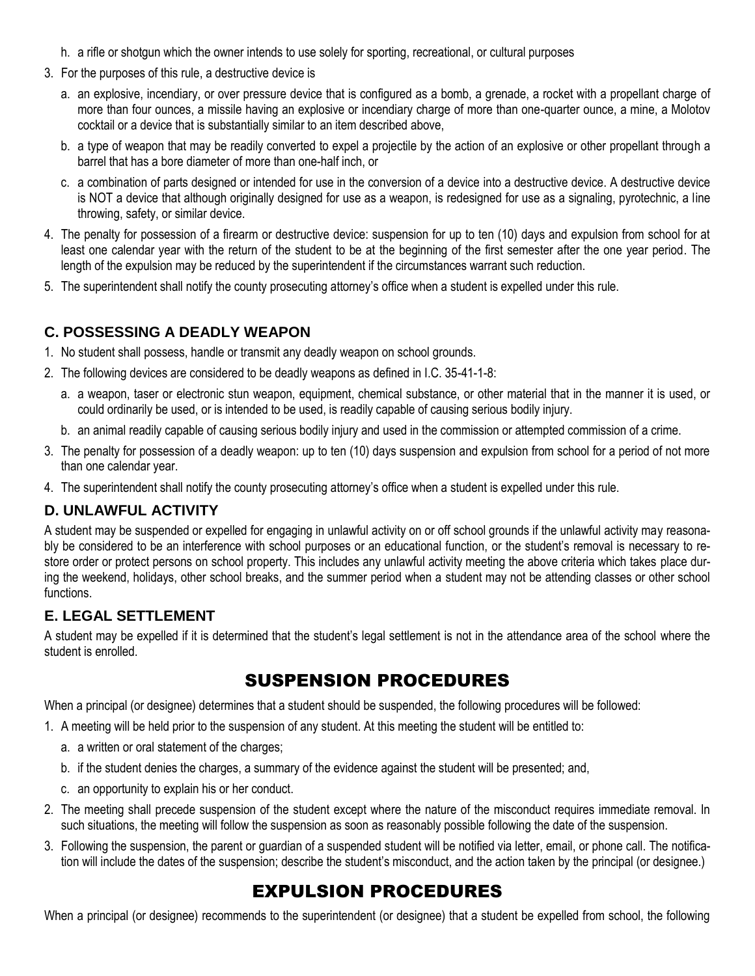- h. a rifle or shotgun which the owner intends to use solely for sporting, recreational, or cultural purposes
- 3. For the purposes of this rule, a destructive device is
	- a. an explosive, incendiary, or over pressure device that is configured as a bomb, a grenade, a rocket with a propellant charge of more than four ounces, a missile having an explosive or incendiary charge of more than one-quarter ounce, a mine, a Molotov cocktail or a device that is substantially similar to an item described above,
	- b. a type of weapon that may be readily converted to expel a projectile by the action of an explosive or other propellant through a barrel that has a bore diameter of more than one-half inch, or
	- c. a combination of parts designed or intended for use in the conversion of a device into a destructive device. A destructive device is NOT a device that although originally designed for use as a weapon, is redesigned for use as a signaling, pyrotechnic, a line throwing, safety, or similar device.
- 4. The penalty for possession of a firearm or destructive device: suspension for up to ten (10) days and expulsion from school for at least one calendar year with the return of the student to be at the beginning of the first semester after the one year period. The length of the expulsion may be reduced by the superintendent if the circumstances warrant such reduction.
- 5. The superintendent shall notify the county prosecuting attorney's office when a student is expelled under this rule.

## **C. POSSESSING A DEADLY WEAPON**

- 1. No student shall possess, handle or transmit any deadly weapon on school grounds.
- 2. The following devices are considered to be deadly weapons as defined in I.C. 35-41-1-8:
	- a. a weapon, taser or electronic stun weapon, equipment, chemical substance, or other material that in the manner it is used, or could ordinarily be used, or is intended to be used, is readily capable of causing serious bodily injury.
	- b. an animal readily capable of causing serious bodily injury and used in the commission or attempted commission of a crime.
- 3. The penalty for possession of a deadly weapon: up to ten (10) days suspension and expulsion from school for a period of not more than one calendar year.
- 4. The superintendent shall notify the county prosecuting attorney's office when a student is expelled under this rule.

## **D. UNLAWFUL ACTIVITY**

A student may be suspended or expelled for engaging in unlawful activity on or off school grounds if the unlawful activity may reasonably be considered to be an interference with school purposes or an educational function, or the student's removal is necessary to restore order or protect persons on school property. This includes any unlawful activity meeting the above criteria which takes place during the weekend, holidays, other school breaks, and the summer period when a student may not be attending classes or other school functions.

## **E. LEGAL SETTLEMENT**

A student may be expelled if it is determined that the student's legal settlement is not in the attendance area of the school where the student is enrolled.

# SUSPENSION PROCEDURES

When a principal (or designee) determines that a student should be suspended, the following procedures will be followed:

- 1. A meeting will be held prior to the suspension of any student. At this meeting the student will be entitled to:
	- a. a written or oral statement of the charges;
	- b. if the student denies the charges, a summary of the evidence against the student will be presented; and,
	- c. an opportunity to explain his or her conduct.
- 2. The meeting shall precede suspension of the student except where the nature of the misconduct requires immediate removal. In such situations, the meeting will follow the suspension as soon as reasonably possible following the date of the suspension.
- 3. Following the suspension, the parent or guardian of a suspended student will be notified via letter, email, or phone call. The notification will include the dates of the suspension; describe the student's misconduct, and the action taken by the principal (or designee.)

# EXPULSION PROCEDURES

When a principal (or designee) recommends to the superintendent (or designee) that a student be expelled from school, the following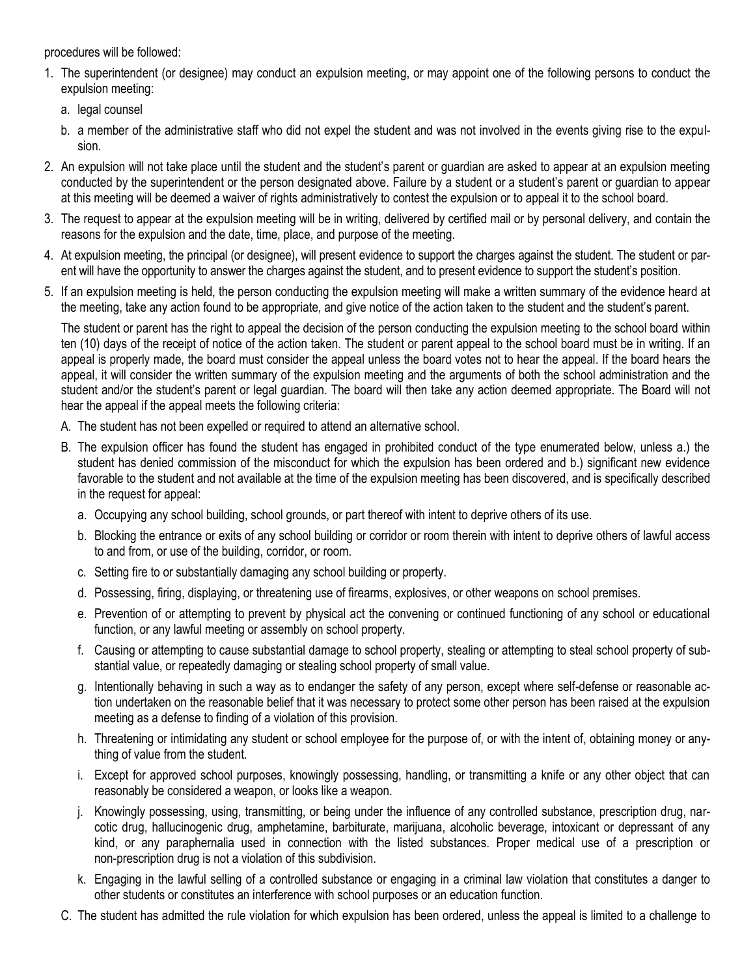procedures will be followed:

- 1. The superintendent (or designee) may conduct an expulsion meeting, or may appoint one of the following persons to conduct the expulsion meeting:
	- a. legal counsel
	- b. a member of the administrative staff who did not expel the student and was not involved in the events giving rise to the expulsion.
- 2. An expulsion will not take place until the student and the student's parent or guardian are asked to appear at an expulsion meeting conducted by the superintendent or the person designated above. Failure by a student or a student's parent or guardian to appear at this meeting will be deemed a waiver of rights administratively to contest the expulsion or to appeal it to the school board.
- 3. The request to appear at the expulsion meeting will be in writing, delivered by certified mail or by personal delivery, and contain the reasons for the expulsion and the date, time, place, and purpose of the meeting.
- 4. At expulsion meeting, the principal (or designee), will present evidence to support the charges against the student. The student or parent will have the opportunity to answer the charges against the student, and to present evidence to support the student's position.
- 5. If an expulsion meeting is held, the person conducting the expulsion meeting will make a written summary of the evidence heard at the meeting, take any action found to be appropriate, and give notice of the action taken to the student and the student's parent.

The student or parent has the right to appeal the decision of the person conducting the expulsion meeting to the school board within ten (10) days of the receipt of notice of the action taken. The student or parent appeal to the school board must be in writing. If an appeal is properly made, the board must consider the appeal unless the board votes not to hear the appeal. If the board hears the appeal, it will consider the written summary of the expulsion meeting and the arguments of both the school administration and the student and/or the student's parent or legal guardian. The board will then take any action deemed appropriate. The Board will not hear the appeal if the appeal meets the following criteria:

- A. The student has not been expelled or required to attend an alternative school.
- B. The expulsion officer has found the student has engaged in prohibited conduct of the type enumerated below, unless a.) the student has denied commission of the misconduct for which the expulsion has been ordered and b.) significant new evidence favorable to the student and not available at the time of the expulsion meeting has been discovered, and is specifically described in the request for appeal:
	- a. Occupying any school building, school grounds, or part thereof with intent to deprive others of its use.
	- b. Blocking the entrance or exits of any school building or corridor or room therein with intent to deprive others of lawful access to and from, or use of the building, corridor, or room.
	- c. Setting fire to or substantially damaging any school building or property.
	- d. Possessing, firing, displaying, or threatening use of firearms, explosives, or other weapons on school premises.
	- e. Prevention of or attempting to prevent by physical act the convening or continued functioning of any school or educational function, or any lawful meeting or assembly on school property.
	- f. Causing or attempting to cause substantial damage to school property, stealing or attempting to steal school property of substantial value, or repeatedly damaging or stealing school property of small value.
	- g. Intentionally behaving in such a way as to endanger the safety of any person, except where self-defense or reasonable action undertaken on the reasonable belief that it was necessary to protect some other person has been raised at the expulsion meeting as a defense to finding of a violation of this provision.
	- h. Threatening or intimidating any student or school employee for the purpose of, or with the intent of, obtaining money or anything of value from the student.
	- i. Except for approved school purposes, knowingly possessing, handling, or transmitting a knife or any other object that can reasonably be considered a weapon, or looks like a weapon.
	- j. Knowingly possessing, using, transmitting, or being under the influence of any controlled substance, prescription drug, narcotic drug, hallucinogenic drug, amphetamine, barbiturate, marijuana, alcoholic beverage, intoxicant or depressant of any kind, or any paraphernalia used in connection with the listed substances. Proper medical use of a prescription or non-prescription drug is not a violation of this subdivision.
	- k. Engaging in the lawful selling of a controlled substance or engaging in a criminal law violation that constitutes a danger to other students or constitutes an interference with school purposes or an education function.
- C. The student has admitted the rule violation for which expulsion has been ordered, unless the appeal is limited to a challenge to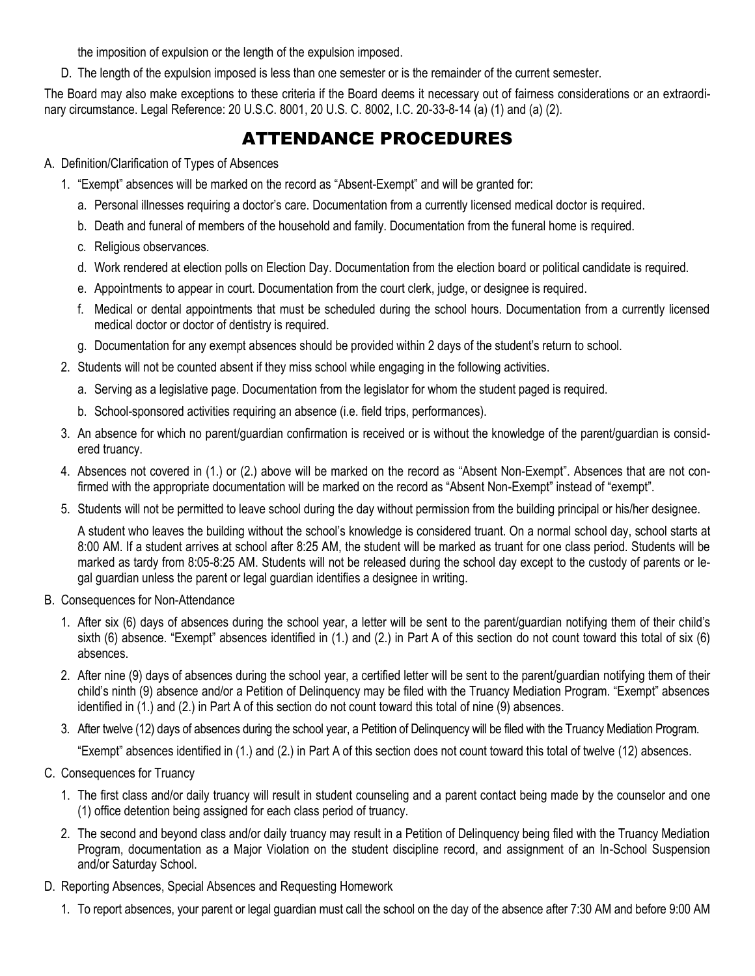the imposition of expulsion or the length of the expulsion imposed.

D. The length of the expulsion imposed is less than one semester or is the remainder of the current semester.

The Board may also make exceptions to these criteria if the Board deems it necessary out of fairness considerations or an extraordinary circumstance. Legal Reference: 20 U.S.C. 8001, 20 U.S. C. 8002, I.C. 20-33-8-14 (a) (1) and (a) (2).

# ATTENDANCE PROCEDURES

#### A. Definition/Clarification of Types of Absences

- 1. "Exempt" absences will be marked on the record as "Absent-Exempt" and will be granted for:
	- a. Personal illnesses requiring a doctor's care. Documentation from a currently licensed medical doctor is required.
	- b. Death and funeral of members of the household and family. Documentation from the funeral home is required.
	- c. Religious observances.
	- d. Work rendered at election polls on Election Day. Documentation from the election board or political candidate is required.
	- e. Appointments to appear in court. Documentation from the court clerk, judge, or designee is required.
	- f. Medical or dental appointments that must be scheduled during the school hours. Documentation from a currently licensed medical doctor or doctor of dentistry is required.
	- g. Documentation for any exempt absences should be provided within 2 days of the student's return to school.
- 2. Students will not be counted absent if they miss school while engaging in the following activities.
	- a. Serving as a legislative page. Documentation from the legislator for whom the student paged is required.
	- b. School-sponsored activities requiring an absence (i.e. field trips, performances).
- 3. An absence for which no parent/guardian confirmation is received or is without the knowledge of the parent/guardian is considered truancy.
- 4. Absences not covered in (1.) or (2.) above will be marked on the record as "Absent Non-Exempt". Absences that are not confirmed with the appropriate documentation will be marked on the record as "Absent Non-Exempt" instead of "exempt".
- 5. Students will not be permitted to leave school during the day without permission from the building principal or his/her designee.

A student who leaves the building without the school's knowledge is considered truant. On a normal school day, school starts at 8:00 AM. If a student arrives at school after 8:25 AM, the student will be marked as truant for one class period. Students will be marked as tardy from 8:05-8:25 AM. Students will not be released during the school day except to the custody of parents or legal guardian unless the parent or legal guardian identifies a designee in writing.

- B. Consequences for Non-Attendance
	- 1. After six (6) days of absences during the school year, a letter will be sent to the parent/guardian notifying them of their child's sixth (6) absence. "Exempt" absences identified in (1.) and (2.) in Part A of this section do not count toward this total of six (6) absences.
	- 2. After nine (9) days of absences during the school year, a certified letter will be sent to the parent/guardian notifying them of their child's ninth (9) absence and/or a Petition of Delinquency may be filed with the Truancy Mediation Program. "Exempt" absences identified in (1.) and (2.) in Part A of this section do not count toward this total of nine (9) absences.
	- 3. After twelve (12) days of absences during the school year, a Petition of Delinquency will be filed with the Truancy Mediation Program.

"Exempt" absences identified in (1.) and (2.) in Part A of this section does not count toward this total of twelve (12) absences.

- C. Consequences for Truancy
	- 1. The first class and/or daily truancy will result in student counseling and a parent contact being made by the counselor and one (1) office detention being assigned for each class period of truancy.
	- 2. The second and beyond class and/or daily truancy may result in a Petition of Delinquency being filed with the Truancy Mediation Program, documentation as a Major Violation on the student discipline record, and assignment of an In-School Suspension and/or Saturday School.
- D. Reporting Absences, Special Absences and Requesting Homework
	- 1. To report absences, your parent or legal guardian must call the school on the day of the absence after 7:30 AM and before 9:00 AM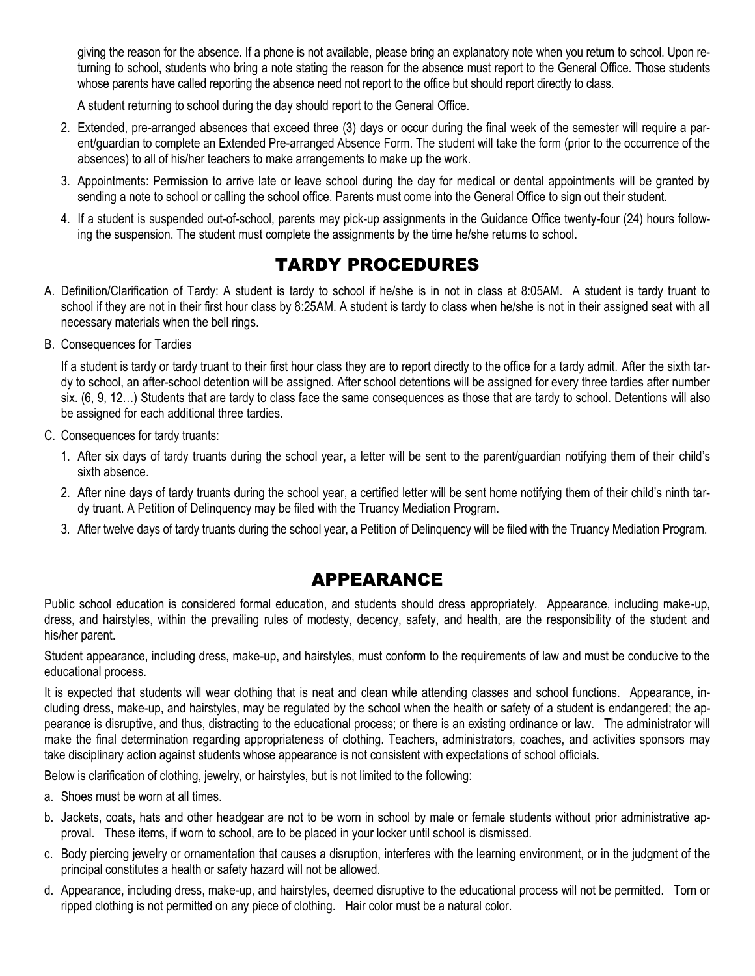giving the reason for the absence. If a phone is not available, please bring an explanatory note when you return to school. Upon returning to school, students who bring a note stating the reason for the absence must report to the General Office. Those students whose parents have called reporting the absence need not report to the office but should report directly to class.

A student returning to school during the day should report to the General Office.

- 2. Extended, pre-arranged absences that exceed three (3) days or occur during the final week of the semester will require a parent/guardian to complete an Extended Pre-arranged Absence Form. The student will take the form (prior to the occurrence of the absences) to all of his/her teachers to make arrangements to make up the work.
- 3. Appointments: Permission to arrive late or leave school during the day for medical or dental appointments will be granted by sending a note to school or calling the school office. Parents must come into the General Office to sign out their student.
- 4. If a student is suspended out-of-school, parents may pick-up assignments in the Guidance Office twenty-four (24) hours following the suspension. The student must complete the assignments by the time he/she returns to school.

# TARDY PROCEDURES

- A. Definition/Clarification of Tardy: A student is tardy to school if he/she is in not in class at 8:05AM. A student is tardy truant to school if they are not in their first hour class by 8:25AM. A student is tardy to class when he/she is not in their assigned seat with all necessary materials when the bell rings.
- B. Consequences for Tardies

If a student is tardy or tardy truant to their first hour class they are to report directly to the office for a tardy admit. After the sixth tardy to school, an after-school detention will be assigned. After school detentions will be assigned for every three tardies after number six. (6, 9, 12…) Students that are tardy to class face the same consequences as those that are tardy to school. Detentions will also be assigned for each additional three tardies.

- C. Consequences for tardy truants:
	- 1. After six days of tardy truants during the school year, a letter will be sent to the parent/guardian notifying them of their child's sixth absence.
	- 2. After nine days of tardy truants during the school year, a certified letter will be sent home notifying them of their child's ninth tardy truant. A Petition of Delinquency may be filed with the Truancy Mediation Program.
	- 3. After twelve days of tardy truants during the school year, a Petition of Delinquency will be filed with the Truancy Mediation Program.

# APPEARANCE

Public school education is considered formal education, and students should dress appropriately. Appearance, including make-up, dress, and hairstyles, within the prevailing rules of modesty, decency, safety, and health, are the responsibility of the student and his/her parent.

Student appearance, including dress, make-up, and hairstyles, must conform to the requirements of law and must be conducive to the educational process.

It is expected that students will wear clothing that is neat and clean while attending classes and school functions. Appearance, including dress, make-up, and hairstyles, may be regulated by the school when the health or safety of a student is endangered; the appearance is disruptive, and thus, distracting to the educational process; or there is an existing ordinance or law. The administrator will make the final determination regarding appropriateness of clothing. Teachers, administrators, coaches, and activities sponsors may take disciplinary action against students whose appearance is not consistent with expectations of school officials.

Below is clarification of clothing, jewelry, or hairstyles, but is not limited to the following:

- a. Shoes must be worn at all times.
- b. Jackets, coats, hats and other headgear are not to be worn in school by male or female students without prior administrative approval. These items, if worn to school, are to be placed in your locker until school is dismissed.
- c. Body piercing jewelry or ornamentation that causes a disruption, interferes with the learning environment, or in the judgment of the principal constitutes a health or safety hazard will not be allowed.
- d. Appearance, including dress, make-up, and hairstyles, deemed disruptive to the educational process will not be permitted. Torn or ripped clothing is not permitted on any piece of clothing. Hair color must be a natural color.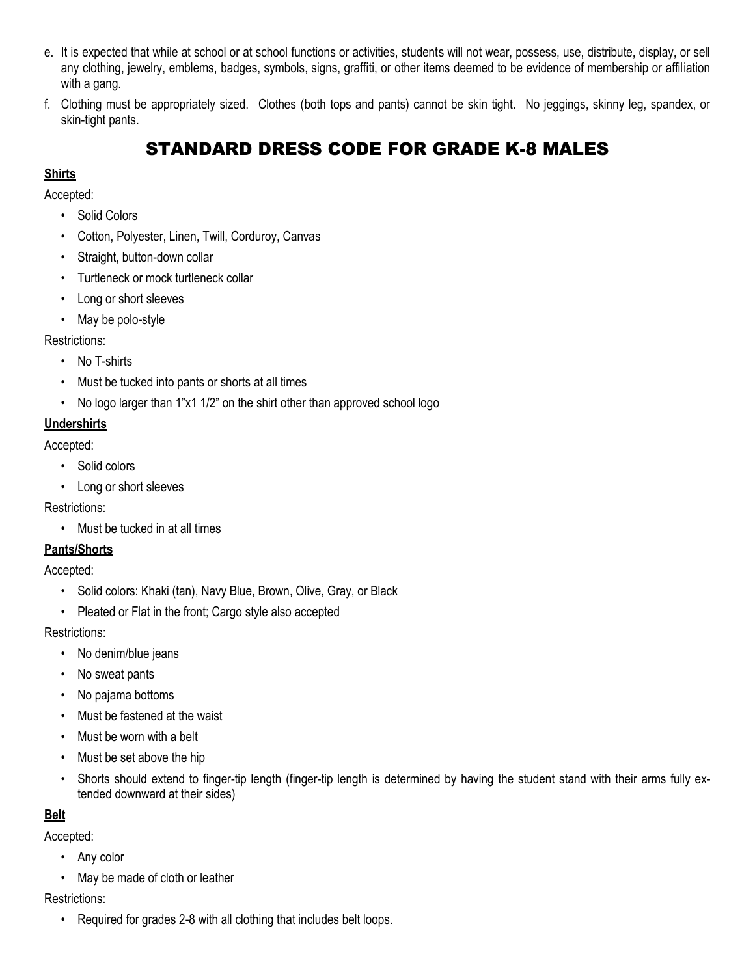- e. It is expected that while at school or at school functions or activities, students will not wear, possess, use, distribute, display, or sell any clothing, jewelry, emblems, badges, symbols, signs, graffiti, or other items deemed to be evidence of membership or affiliation with a gang.
- f. Clothing must be appropriately sized. Clothes (both tops and pants) cannot be skin tight. No jeggings, skinny leg, spandex, or skin-tight pants.

# STANDARD DRESS CODE FOR GRADE K-8 MALES

#### **Shirts**

Accepted:

- Solid Colors
- Cotton, Polyester, Linen, Twill, Corduroy, Canvas
- Straight, button-down collar
- Turtleneck or mock turtleneck collar
- Long or short sleeves
- May be polo-style

Restrictions:

- No T-shirts
- Must be tucked into pants or shorts at all times
- No logo larger than 1"x1 1/2" on the shirt other than approved school logo

### **Undershirts**

Accepted:

- Solid colors
- Long or short sleeves

Restrictions:

• Must be tucked in at all times

## **Pants/Shorts**

Accepted:

- Solid colors: Khaki (tan), Navy Blue, Brown, Olive, Gray, or Black
- Pleated or Flat in the front; Cargo style also accepted

Restrictions:

- No denim/blue jeans
- No sweat pants
- No pajama bottoms
- Must be fastened at the waist
- Must be worn with a belt
- Must be set above the hip
- Shorts should extend to finger-tip length (finger-tip length is determined by having the student stand with their arms fully extended downward at their sides)

## **Belt**

Accepted:

- Any color
- May be made of cloth or leather

Restrictions:

• Required for grades 2-8 with all clothing that includes belt loops.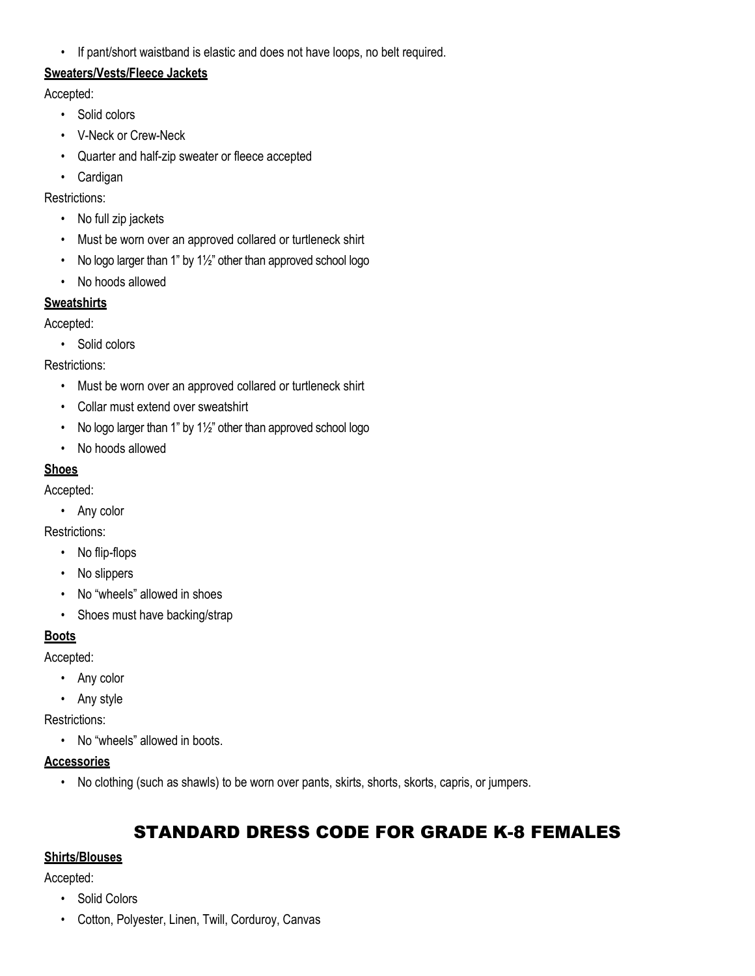• If pant/short waistband is elastic and does not have loops, no belt required.

#### **Sweaters/Vests/Fleece Jackets**

Accepted:

- Solid colors
- V-Neck or Crew-Neck
- Quarter and half-zip sweater or fleece accepted
- Cardigan

Restrictions:

- No full zip jackets
- Must be worn over an approved collared or turtleneck shirt
- No logo larger than 1" by 11/2" other than approved school logo
- No hoods allowed

#### **Sweatshirts**

Accepted:

• Solid colors

Restrictions:

- Must be worn over an approved collared or turtleneck shirt
- Collar must extend over sweatshirt
- No logo larger than 1" by 11/2" other than approved school logo
- No hoods allowed

#### **Shoes**

Accepted:

• Any color

Restrictions:

- No flip-flops
- No slippers
- No "wheels" allowed in shoes
- Shoes must have backing/strap

## **Boots**

Accepted:

- Any color
- Any style

Restrictions:

• No "wheels" allowed in boots.

#### **Accessories**

• No clothing (such as shawls) to be worn over pants, skirts, shorts, skorts, capris, or jumpers.

# STANDARD DRESS CODE FOR GRADE K-8 FEMALES

## **Shirts/Blouses**

Accepted:

- Solid Colors
- Cotton, Polyester, Linen, Twill, Corduroy, Canvas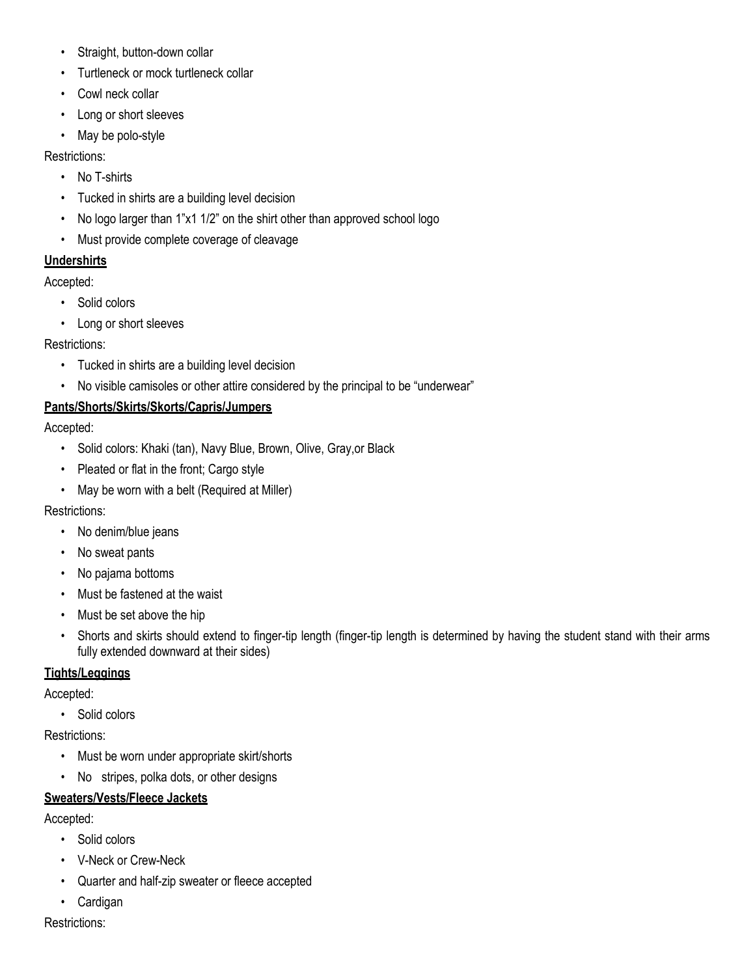- Straight, button-down collar
- Turtleneck or mock turtleneck collar
- Cowl neck collar
- Long or short sleeves
- May be polo-style

Restrictions:

- No T-shirts
- Tucked in shirts are a building level decision
- No logo larger than 1"x1 1/2" on the shirt other than approved school logo
- Must provide complete coverage of cleavage

#### **Undershirts**

Accepted:

- Solid colors
- Long or short sleeves

Restrictions:

- Tucked in shirts are a building level decision
- No visible camisoles or other attire considered by the principal to be "underwear"

## **Pants/Shorts/Skirts/Skorts/Capris/Jumpers**

Accepted:

- Solid colors: Khaki (tan), Navy Blue, Brown, Olive, Gray,or Black
- Pleated or flat in the front; Cargo style
- May be worn with a belt (Required at Miller)

#### Restrictions:

- No denim/blue jeans
- No sweat pants
- No pajama bottoms
- Must be fastened at the waist
- Must be set above the hip
- Shorts and skirts should extend to finger-tip length (finger-tip length is determined by having the student stand with their arms fully extended downward at their sides)

#### **Tights/Leggings**

Accepted:

• Solid colors

Restrictions:

- Must be worn under appropriate skirt/shorts
- No stripes, polka dots, or other designs

## **Sweaters/Vests/Fleece Jackets**

Accepted:

- Solid colors
- V-Neck or Crew-Neck
- Quarter and half-zip sweater or fleece accepted
- Cardigan

Restrictions: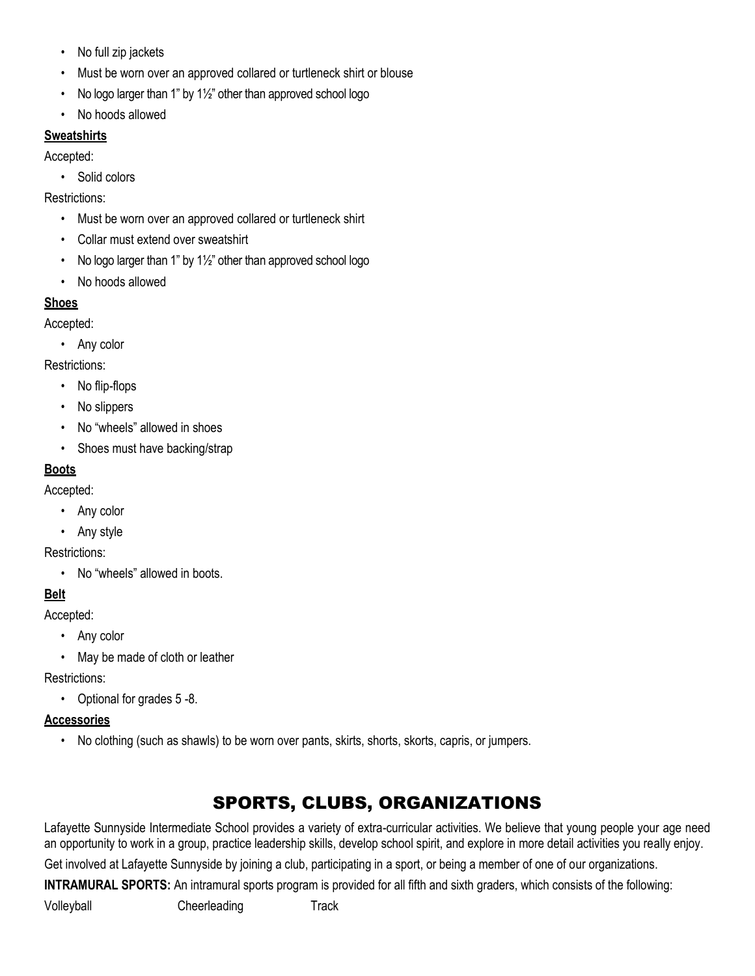- No full zip jackets
- Must be worn over an approved collared or turtleneck shirt or blouse
- No logo larger than 1" by 1½" other than approved school logo
- No hoods allowed

## **Sweatshirts**

Accepted:

• Solid colors

Restrictions:

- Must be worn over an approved collared or turtleneck shirt
- Collar must extend over sweatshirt
- No logo larger than 1" by 1½" other than approved school logo
- No hoods allowed

## **Shoes**

Accepted:

• Any color

Restrictions:

- No flip-flops
- No slippers
- No "wheels" allowed in shoes
- Shoes must have backing/strap

## **Boots**

Accepted:

- Any color
- Any style

Restrictions:

• No "wheels" allowed in boots.

# **Belt**

Accepted:

- Any color
- May be made of cloth or leather

Restrictions:

• Optional for grades 5 -8.

## **Accessories**

• No clothing (such as shawls) to be worn over pants, skirts, shorts, skorts, capris, or jumpers.

# SPORTS, CLUBS, ORGANIZATIONS

Lafayette Sunnyside Intermediate School provides a variety of extra-curricular activities. We believe that young people your age need an opportunity to work in a group, practice leadership skills, develop school spirit, and explore in more detail activities you really enjoy.

Get involved at Lafayette Sunnyside by joining a club, participating in a sport, or being a member of one of our organizations.

**INTRAMURAL SPORTS:** An intramural sports program is provided for all fifth and sixth graders, which consists of the following:

Volleyball Cheerleading Track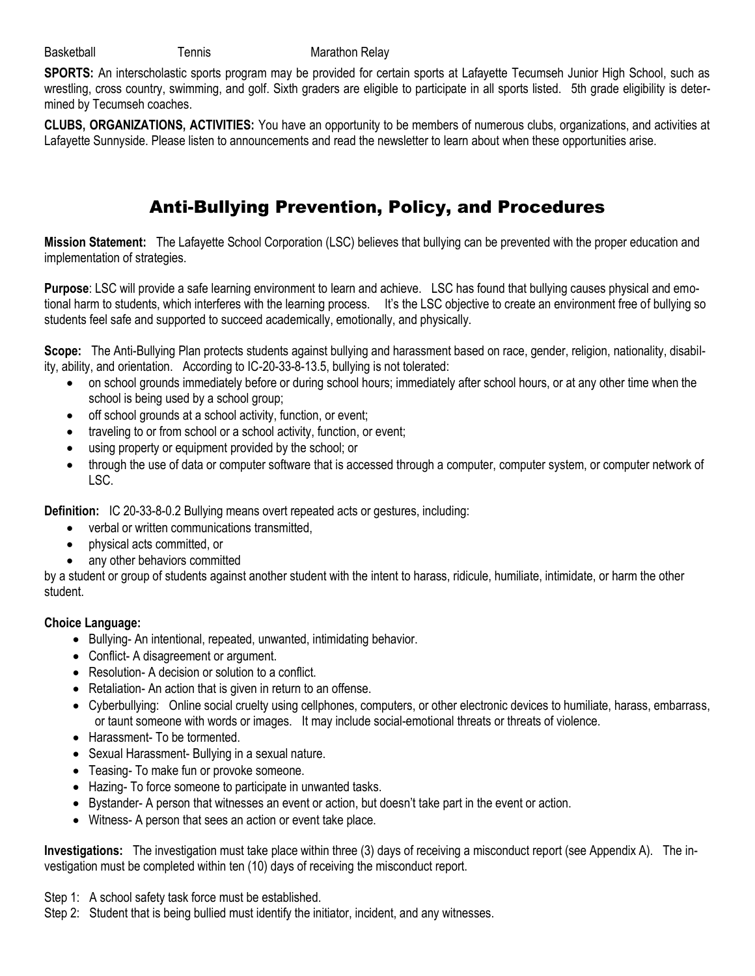**SPORTS:** An interscholastic sports program may be provided for certain sports at Lafayette Tecumseh Junior High School, such as wrestling, cross country, swimming, and golf. Sixth graders are eligible to participate in all sports listed. 5th grade eligibility is determined by Tecumseh coaches.

**CLUBS, ORGANIZATIONS, ACTIVITIES:** You have an opportunity to be members of numerous clubs, organizations, and activities at Lafayette Sunnyside. Please listen to announcements and read the newsletter to learn about when these opportunities arise.

# Anti-Bullying Prevention, Policy, and Procedures

**Mission Statement:** The Lafayette School Corporation (LSC) believes that bullying can be prevented with the proper education and implementation of strategies.

**Purpose**: LSC will provide a safe learning environment to learn and achieve. LSC has found that bullying causes physical and emotional harm to students, which interferes with the learning process. It's the LSC objective to create an environment free of bullying so students feel safe and supported to succeed academically, emotionally, and physically.

**Scope:** The Anti-Bullying Plan protects students against bullying and harassment based on race, gender, religion, nationality, disability, ability, and orientation. According to IC-20-33-8-13.5, bullying is not tolerated:

- on school grounds immediately before or during school hours; immediately after school hours, or at any other time when the school is being used by a school group;
- off school grounds at a school activity, function, or event;
- traveling to or from school or a school activity, function, or event;
- using property or equipment provided by the school; or
- through the use of data or computer software that is accessed through a computer, computer system, or computer network of LSC.

**Definition:** IC 20-33-8-0.2 Bullying means overt repeated acts or gestures, including:

- verbal or written communications transmitted,
- physical acts committed, or
- any other behaviors committed

by a student or group of students against another student with the intent to harass, ridicule, humiliate, intimidate, or harm the other student.

#### **Choice Language:**

- Bullying- An intentional, repeated, unwanted, intimidating behavior.
- Conflict- A disagreement or argument.
- Resolution- A decision or solution to a conflict.
- Retaliation- An action that is given in return to an offense.
- Cyberbullying: Online social cruelty using cellphones, computers, or other electronic devices to humiliate, harass, embarrass, or taunt someone with words or images. It may include social-emotional threats or threats of violence.
- Harassment- To be tormented.
- Sexual Harassment- Bullying in a sexual nature.
- Teasing- To make fun or provoke someone.
- Hazing- To force someone to participate in unwanted tasks.
- Bystander- A person that witnesses an event or action, but doesn't take part in the event or action.
- Witness- A person that sees an action or event take place.

**Investigations:** The investigation must take place within three (3) days of receiving a misconduct report (see Appendix A). The investigation must be completed within ten (10) days of receiving the misconduct report.

- Step 1: A school safety task force must be established.
- Step 2: Student that is being bullied must identify the initiator, incident, and any witnesses.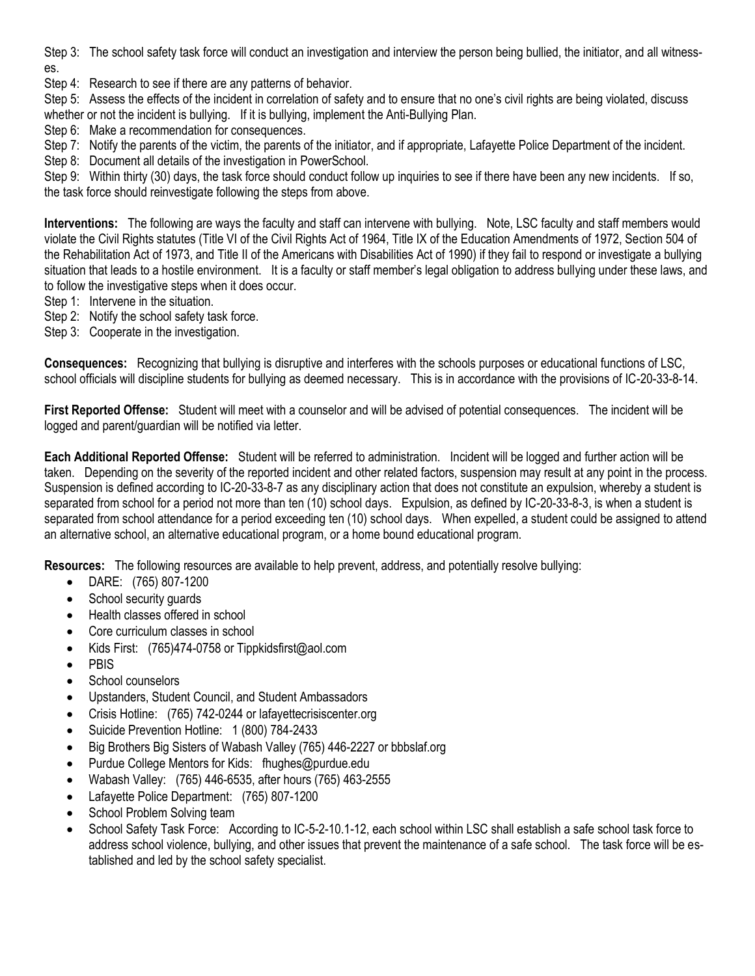Step 3: The school safety task force will conduct an investigation and interview the person being bullied, the initiator, and all witnesses.

Step 4: Research to see if there are any patterns of behavior.

Step 5: Assess the effects of the incident in correlation of safety and to ensure that no one's civil rights are being violated, discuss whether or not the incident is bullying. If it is bullying, implement the Anti-Bullying Plan.

Step 6: Make a recommendation for consequences.

Step 7: Notify the parents of the victim, the parents of the initiator, and if appropriate, Lafayette Police Department of the incident.

Step 8: Document all details of the investigation in PowerSchool.

Step 9: Within thirty (30) days, the task force should conduct follow up inquiries to see if there have been any new incidents. If so, the task force should reinvestigate following the steps from above.

**Interventions:** The following are ways the faculty and staff can intervene with bullying. Note, LSC faculty and staff members would violate the Civil Rights statutes (Title VI of the Civil Rights Act of 1964, Title IX of the Education Amendments of 1972, Section 504 of the Rehabilitation Act of 1973, and Title II of the Americans with Disabilities Act of 1990) if they fail to respond or investigate a bullying situation that leads to a hostile environment. It is a faculty or staff member's legal obligation to address bullying under these laws, and to follow the investigative steps when it does occur.

- Step 1: Intervene in the situation.
- Step 2: Notify the school safety task force.
- Step 3: Cooperate in the investigation.

**Consequences:** Recognizing that bullying is disruptive and interferes with the schools purposes or educational functions of LSC, school officials will discipline students for bullying as deemed necessary. This is in accordance with the provisions of IC-20-33-8-14.

**First Reported Offense:** Student will meet with a counselor and will be advised of potential consequences. The incident will be logged and parent/guardian will be notified via letter.

**Each Additional Reported Offense:** Student will be referred to administration. Incident will be logged and further action will be taken. Depending on the severity of the reported incident and other related factors, suspension may result at any point in the process. Suspension is defined according to IC-20-33-8-7 as any disciplinary action that does not constitute an expulsion, whereby a student is separated from school for a period not more than ten (10) school days. Expulsion, as defined by IC-20-33-8-3, is when a student is separated from school attendance for a period exceeding ten (10) school days. When expelled, a student could be assigned to attend an alternative school, an alternative educational program, or a home bound educational program.

**Resources:** The following resources are available to help prevent, address, and potentially resolve bullying:

- DARE: (765) 807-1200
- School security guards
- Health classes offered in school
- Core curriculum classes in school
- Kids First: (765)474-0758 or Tippkidsfirst@aol.com
- PBIS
- School counselors
- Upstanders, Student Council, and Student Ambassadors
- Crisis Hotline: (765) 742-0244 or lafayettecrisiscenter.org
- Suicide Prevention Hotline: 1 (800) 784-2433
- Big Brothers Big Sisters of Wabash Valley (765) 446-2227 or bbbslaf.org
- Purdue College Mentors for Kids: fhughes@purdue.edu
- Wabash Valley: (765) 446-6535, after hours (765) 463-2555
- Lafayette Police Department: (765) 807-1200
- School Problem Solving team
- School Safety Task Force: According to IC-5-2-10.1-12, each school within LSC shall establish a safe school task force to address school violence, bullying, and other issues that prevent the maintenance of a safe school. The task force will be established and led by the school safety specialist.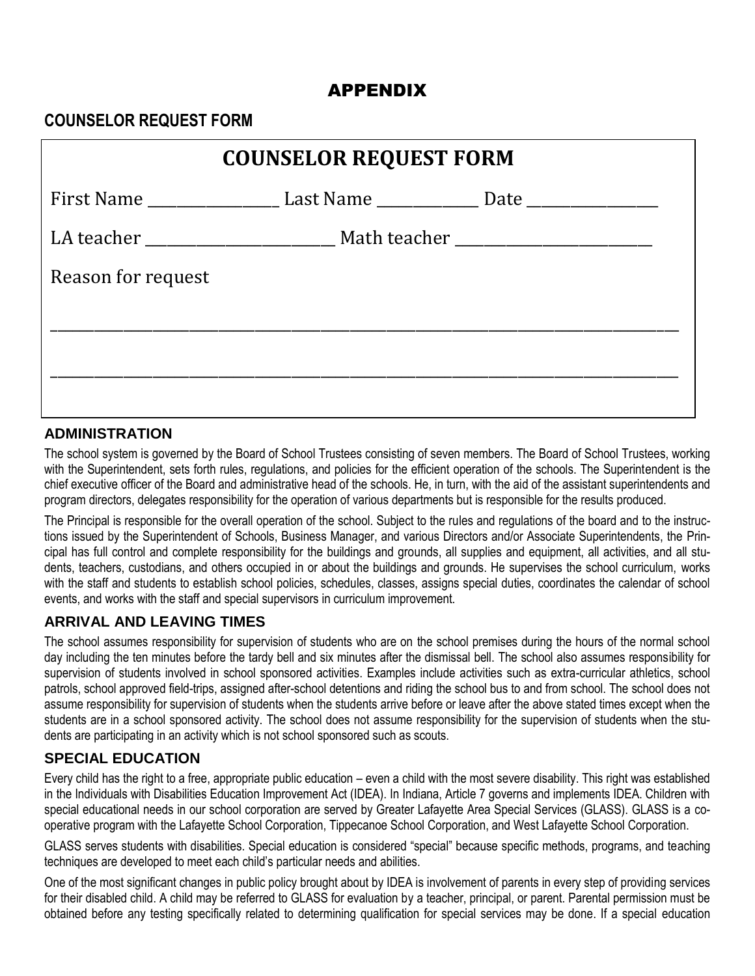# APPENDIX

# **COUNSELOR REQUEST FORM**

| <b>COUNSELOR REQUEST FORM</b> |                                                                                                      |  |  |  |
|-------------------------------|------------------------------------------------------------------------------------------------------|--|--|--|
|                               | First Name ___________________________Last Name ___________________Date ____________________________ |  |  |  |
|                               |                                                                                                      |  |  |  |
| Reason for request            |                                                                                                      |  |  |  |
|                               |                                                                                                      |  |  |  |
|                               |                                                                                                      |  |  |  |
|                               |                                                                                                      |  |  |  |
|                               |                                                                                                      |  |  |  |

#### **ADMINISTRATION**

The school system is governed by the Board of School Trustees consisting of seven members. The Board of School Trustees, working The school system is governed by the Board of School Trustees consisting of seven members. The Board of School Trustees, working<br>with the Superintendent, sets forth rules, regulations, and policies for the efficient operat chief executive officer of the Board and administrative head of the schools. He, in turn, with the aid of the assistant superintendents and program directors, delegates responsibility for the operation of various departments but is responsible for the results produced.<br>The state of the state of the state of the state of the state of the state of the state of t

The Principal is responsible for the overall operation of the school. Subject to the rules and regulations of the board and to the instructions issued by the Superintendent of Schools, Business Manager, and various Directors and/or Associate Superintendents, the Principal has full control and complete responsibility for the buildings and grounds, all supplies and equipment, all activities, and all students, teachers, custodians, and others occupied in or about the buildings and grounds. He supervises the school curriculum, works with the staff and students to establish school policies, schedules, classes, assigns special duties, coordinates the calendar of school events, and works with the staff and special supervisors in curriculum improvement.

## **ARRIVAL AND LEAVING TIMES**

The school assumes responsibility for supervision of students who are on the school premises during the hours of the normal school day including the ten minutes before the tardy bell and six minutes after the dismissal bell. The school also assumes responsibility for supervision of students involved in school sponsored activities. Examples include activities such as extra-curricular athletics, school patrols, school approved field-trips, assigned after-school detentions and riding the school bus to and from school. The school does not assume responsibility for supervision of students when the students arrive before or leave after the above stated times except when the students are in a school sponsored activity. The school does not assume responsibility for the supervision of students when the students are participating in an activity which is not school sponsored such as scouts.

#### **SPECIAL EDUCATION**

Every child has the right to a free, appropriate public education – even a child with the most severe disability. This right was established in the Individuals with Disabilities Education Improvement Act (IDEA). In Indiana, Article 7 governs and implements IDEA. Children with special educational needs in our school corporation are served by Greater Lafayette Area Special Services (GLASS). GLASS is a cooperative program with the Lafayette School Corporation, Tippecanoe School Corporation, and West Lafayette School Corporation.

GLASS serves students with disabilities. Special education is considered "special" because specific methods, programs, and teaching techniques are developed to meet each child's particular needs and abilities.

One of the most significant changes in public policy brought about by IDEA is involvement of parents in every step of providing services for their disabled child. A child may be referred to GLASS for evaluation by a teacher, principal, or parent. Parental permission must be obtained before any testing specifically related to determining qualification for special services may be done. If a special education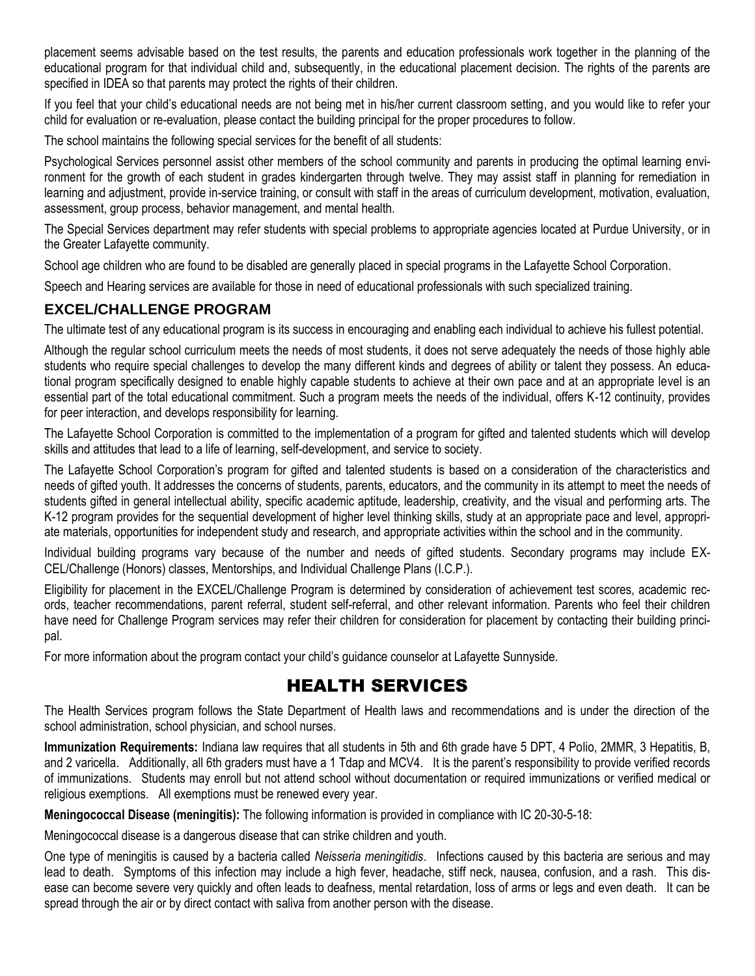placement seems advisable based on the test results, the parents and education professionals work together in the planning of the educational program for that individual child and, subsequently, in the educational placement decision. The rights of the parents are specified in IDEA so that parents may protect the rights of their children.

If you feel that your child's educational needs are not being met in his/her current classroom setting, and you would like to refer your child for evaluation or re-evaluation, please contact the building principal for the proper procedures to follow.

The school maintains the following special services for the benefit of all students:

Psychological Services personnel assist other members of the school community and parents in producing the optimal learning environment for the growth of each student in grades kindergarten through twelve. They may assist staff in planning for remediation in learning and adjustment, provide in-service training, or consult with staff in the areas of curriculum development, motivation, evaluation, assessment, group process, behavior management, and mental health.

The Special Services department may refer students with special problems to appropriate agencies located at Purdue University, or in the Greater Lafayette community.

School age children who are found to be disabled are generally placed in special programs in the Lafayette School Corporation.

Speech and Hearing services are available for those in need of educational professionals with such specialized training.

## **EXCEL/CHALLENGE PROGRAM**

The ultimate test of any educational program is its success in encouraging and enabling each individual to achieve his fullest potential.

Although the regular school curriculum meets the needs of most students, it does not serve adequately the needs of those highly able students who require special challenges to develop the many different kinds and degrees of ability or talent they possess. An educational program specifically designed to enable highly capable students to achieve at their own pace and at an appropriate level is an essential part of the total educational commitment. Such a program meets the needs of the individual, offers K-12 continuity, provides for peer interaction, and develops responsibility for learning.

The Lafayette School Corporation is committed to the implementation of a program for gifted and talented students which will develop skills and attitudes that lead to a life of learning, self-development, and service to society.

The Lafayette School Corporation's program for gifted and talented students is based on a consideration of the characteristics and needs of gifted youth. It addresses the concerns of students, parents, educators, and the community in its attempt to meet the needs of students gifted in general intellectual ability, specific academic aptitude, leadership, creativity, and the visual and performing arts. The K-12 program provides for the sequential development of higher level thinking skills, study at an appropriate pace and level, appropriate materials, opportunities for independent study and research, and appropriate activities within the school and in the community.

Individual building programs vary because of the number and needs of gifted students. Secondary programs may include EX-CEL/Challenge (Honors) classes, Mentorships, and Individual Challenge Plans (I.C.P.).

Eligibility for placement in the EXCEL/Challenge Program is determined by consideration of achievement test scores, academic records, teacher recommendations, parent referral, student self-referral, and other relevant information. Parents who feel their children have need for Challenge Program services may refer their children for consideration for placement by contacting their building principal.

For more information about the program contact your child's guidance counselor at Lafayette Sunnyside.

# HEALTH SERVICES

The Health Services program follows the State Department of Health laws and recommendations and is under the direction of the school administration, school physician, and school nurses.

**Immunization Requirements:** Indiana law requires that all students in 5th and 6th grade have 5 DPT, 4 Polio, 2MMR, 3 Hepatitis, B, and 2 varicella. Additionally, all 6th graders must have a 1 Tdap and MCV4. It is the parent's responsibility to provide verified records of immunizations. Students may enroll but not attend school without documentation or required immunizations or verified medical or religious exemptions. All exemptions must be renewed every year.

**Meningococcal Disease (meningitis):** The following information is provided in compliance with IC 20-30-5-18:

Meningococcal disease is a dangerous disease that can strike children and youth.

One type of meningitis is caused by a bacteria called *Neisseria meningitidis*. Infections caused by this bacteria are serious and may lead to death. Symptoms of this infection may include a high fever, headache, stiff neck, nausea, confusion, and a rash. This disease can become severe very quickly and often leads to deafness, mental retardation, loss of arms or legs and even death. It can be spread through the air or by direct contact with saliva from another person with the disease.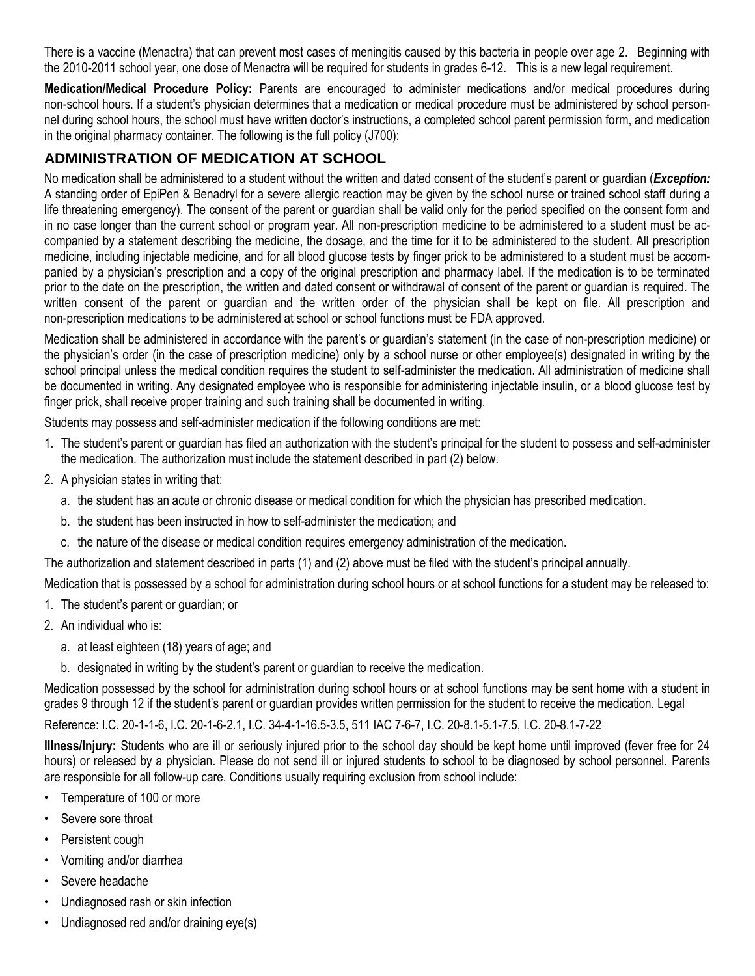There is a vaccine (Menactra) that can prevent most cases of meningitis caused by this bacteria in people over age 2. Beginning with the 2010-2011 school year, one dose of Menactra will be required for students in grades 6-12. This is a new legal requirement.

**Medication/Medical Procedure Policy:** Parents are encouraged to administer medications and/or medical procedures during non-school hours. If a student's physician determines that a medication or medical procedure must be administered by school personnel during school hours, the school must have written doctor's instructions, a completed school parent permission form, and medication in the original pharmacy container. The following is the full policy (J700):

# **ADMINISTRATION OF MEDICATION AT SCHOOL**

No medication shall be administered to a student without the written and dated consent of the student's parent or guardian (*Exception:*  A standing order of EpiPen & Benadryl for a severe allergic reaction may be given by the school nurse or trained school staff during a life threatening emergency). The consent of the parent or guardian shall be valid only for the period specified on the consent form and in no case longer than the current school or program year. All non-prescription medicine to be administered to a student must be accompanied by a statement describing the medicine, the dosage, and the time for it to be administered to the student. All prescription medicine, including injectable medicine, and for all blood glucose tests by finger prick to be administered to a student must be accompanied by a physician's prescription and a copy of the original prescription and pharmacy label. If the medication is to be terminated prior to the date on the prescription, the written and dated consent or withdrawal of consent of the parent or guardian is required. The written consent of the parent or guardian and the written order of the physician shall be kept on file. All prescription and non-prescription medications to be administered at school or school functions must be FDA approved.

Medication shall be administered in accordance with the parent's or guardian's statement (in the case of non-prescription medicine) or the physician's order (in the case of prescription medicine) only by a school nurse or other employee(s) designated in writing by the school principal unless the medical condition requires the student to self-administer the medication. All administration of medicine shall be documented in writing. Any designated employee who is responsible for administering injectable insulin, or a blood glucose test by finger prick, shall receive proper training and such training shall be documented in writing.

Students may possess and self-administer medication if the following conditions are met:

- 1. The student's parent or guardian has filed an authorization with the student's principal for the student to possess and self-administer the medication. The authorization must include the statement described in part (2) below.
- 2. A physician states in writing that:
	- a. the student has an acute or chronic disease or medical condition for which the physician has prescribed medication.
	- b. the student has been instructed in how to self-administer the medication; and
	- c. the nature of the disease or medical condition requires emergency administration of the medication.

The authorization and statement described in parts (1) and (2) above must be filed with the student's principal annually.

Medication that is possessed by a school for administration during school hours or at school functions for a student may be released to:

- 1. The student's parent or guardian; or
- 2. An individual who is:
	- a. at least eighteen (18) years of age; and
	- b. designated in writing by the student's parent or guardian to receive the medication.

Medication possessed by the school for administration during school hours or at school functions may be sent home with a student in grades 9 through 12 if the student's parent or guardian provides written permission for the student to receive the medication. Legal

Reference: I.C. 20-1-1-6, I.C. 20-1-6-2.1, I.C. 34-4-1-16.5-3.5, 511 IAC 7-6-7, I.C. 20-8.1-5.1-7.5, I.C. 20-8.1-7-22

**Illness/Injury:** Students who are ill or seriously injured prior to the school day should be kept home until improved (fever free for 24 hours) or released by a physician. Please do not send ill or injured students to school to be diagnosed by school personnel. Parents are responsible for all follow-up care. Conditions usually requiring exclusion from school include:

- Temperature of 100 or more
- Severe sore throat
- Persistent cough
- Vomiting and/or diarrhea
- Severe headache
- Undiagnosed rash or skin infection
- Undiagnosed red and/or draining eye(s)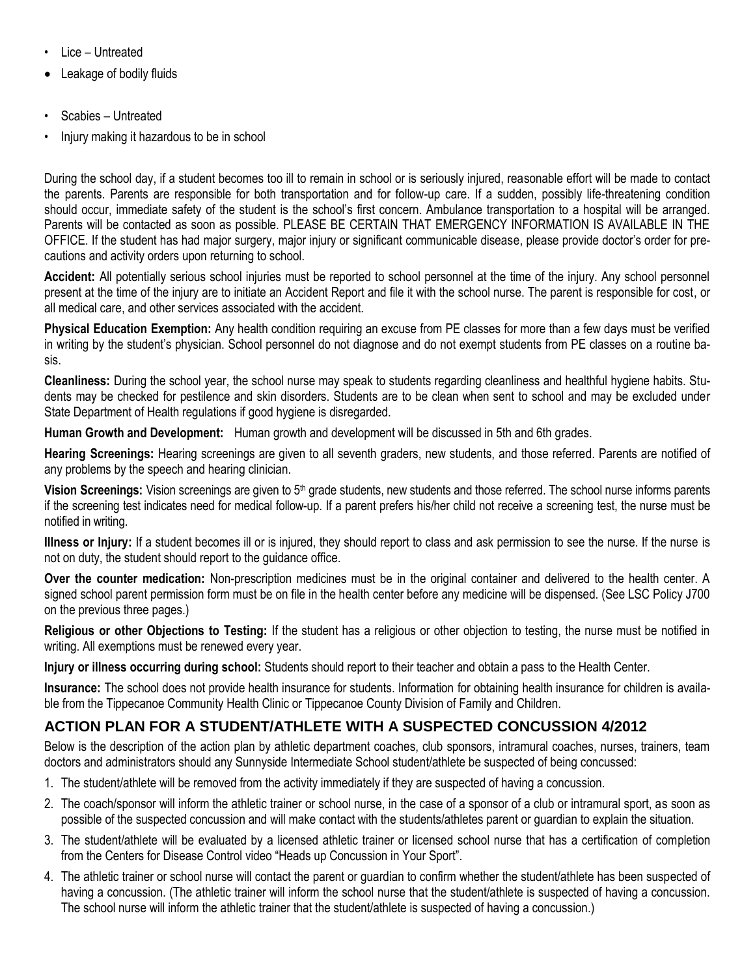- Lice Untreated
- Leakage of bodily fluids
- Scabies Untreated
- Injury making it hazardous to be in school

During the school day, if a student becomes too ill to remain in school or is seriously injured, reasonable effort will be made to contact the parents. Parents are responsible for both transportation and for follow-up care. If a sudden, possibly life-threatening condition should occur, immediate safety of the student is the school's first concern. Ambulance transportation to a hospital will be arranged. Parents will be contacted as soon as possible. PLEASE BE CERTAIN THAT EMERGENCY INFORMATION IS AVAILABLE IN THE OFFICE. If the student has had major surgery, major injury or significant communicable disease, please provide doctor's order for precautions and activity orders upon returning to school.

**Accident:** All potentially serious school injuries must be reported to school personnel at the time of the injury. Any school personnel present at the time of the injury are to initiate an Accident Report and file it with the school nurse. The parent is responsible for cost, or all medical care, and other services associated with the accident.

**Physical Education Exemption:** Any health condition requiring an excuse from PE classes for more than a few days must be verified in writing by the student's physician. School personnel do not diagnose and do not exempt students from PE classes on a routine basis.

**Cleanliness:** During the school year, the school nurse may speak to students regarding cleanliness and healthful hygiene habits. Students may be checked for pestilence and skin disorders. Students are to be clean when sent to school and may be excluded under State Department of Health regulations if good hygiene is disregarded.

**Human Growth and Development:** Human growth and development will be discussed in 5th and 6th grades.

**Hearing Screenings:** Hearing screenings are given to all seventh graders, new students, and those referred. Parents are notified of any problems by the speech and hearing clinician.

Vision Screenings: Vision screenings are given to 5<sup>th</sup> grade students, new students and those referred. The school nurse informs parents if the screening test indicates need for medical follow-up. If a parent prefers his/her child not receive a screening test, the nurse must be notified in writing.

**Illness or Injury:** If a student becomes ill or is injured, they should report to class and ask permission to see the nurse. If the nurse is not on duty, the student should report to the guidance office.

**Over the counter medication:** Non-prescription medicines must be in the original container and delivered to the health center. A signed school parent permission form must be on file in the health center before any medicine will be dispensed. (See LSC Policy J700 on the previous three pages.)

**Religious or other Objections to Testing:** If the student has a religious or other objection to testing, the nurse must be notified in writing. All exemptions must be renewed every year.

**Injury or illness occurring during school:** Students should report to their teacher and obtain a pass to the Health Center.

**Insurance:** The school does not provide health insurance for students. Information for obtaining health insurance for children is available from the Tippecanoe Community Health Clinic or Tippecanoe County Division of Family and Children.

## **ACTION PLAN FOR A STUDENT/ATHLETE WITH A SUSPECTED CONCUSSION 4/2012**

Below is the description of the action plan by athletic department coaches, club sponsors, intramural coaches, nurses, trainers, team doctors and administrators should any Sunnyside Intermediate School student/athlete be suspected of being concussed:

- 1. The student/athlete will be removed from the activity immediately if they are suspected of having a concussion.
- 2. The coach/sponsor will inform the athletic trainer or school nurse, in the case of a sponsor of a club or intramural sport, as soon as possible of the suspected concussion and will make contact with the students/athletes parent or guardian to explain the situation.
- 3. The student/athlete will be evaluated by a licensed athletic trainer or licensed school nurse that has a certification of completion from the Centers for Disease Control video "Heads up Concussion in Your Sport".
- 4. The athletic trainer or school nurse will contact the parent or guardian to confirm whether the student/athlete has been suspected of having a concussion. (The athletic trainer will inform the school nurse that the student/athlete is suspected of having a concussion. The school nurse will inform the athletic trainer that the student/athlete is suspected of having a concussion.)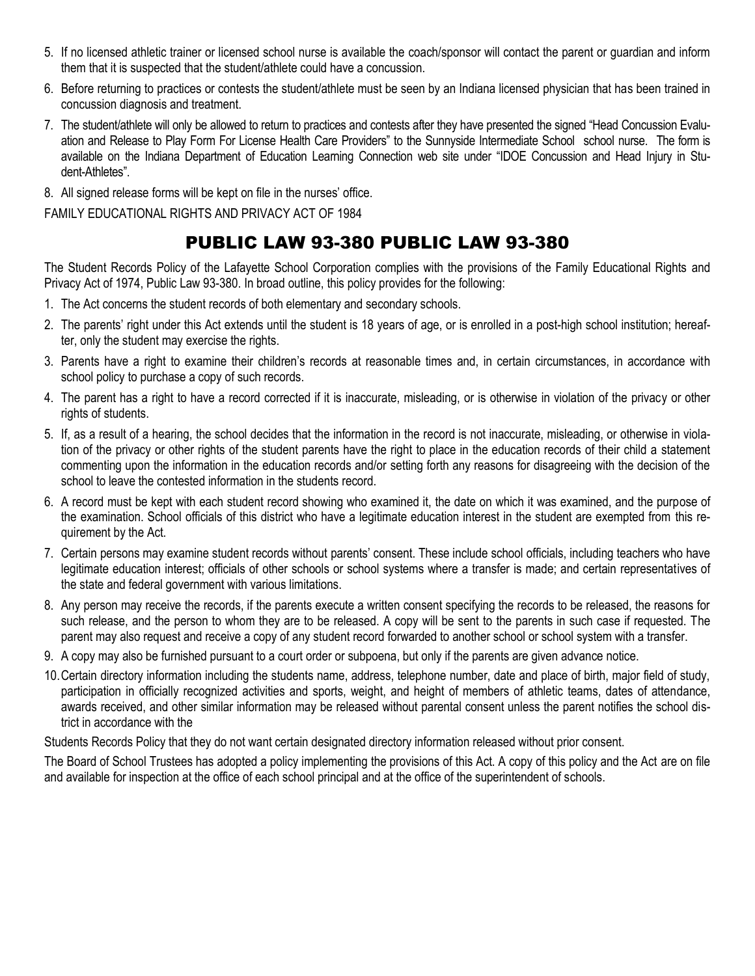- 5. If no licensed athletic trainer or licensed school nurse is available the coach/sponsor will contact the parent or guardian and inform them that it is suspected that the student/athlete could have a concussion.
- 6. Before returning to practices or contests the student/athlete must be seen by an Indiana licensed physician that has been trained in concussion diagnosis and treatment.
- 7. The student/athlete will only be allowed to return to practices and contests after they have presented the signed "Head Concussion Evaluation and Release to Play Form For License Health Care Providers" to the Sunnyside Intermediate School school nurse. The form is available on the Indiana Department of Education Learning Connection web site under "IDOE Concussion and Head Injury in Student-Athletes".
- 8. All signed release forms will be kept on file in the nurses' office.

FAMILY EDUCATIONAL RIGHTS AND PRIVACY ACT OF 1984

# PUBLIC LAW 93-380 PUBLIC LAW 93-380

The Student Records Policy of the Lafayette School Corporation complies with the provisions of the Family Educational Rights and Privacy Act of 1974, Public Law 93-380. In broad outline, this policy provides for the following:

- 1. The Act concerns the student records of both elementary and secondary schools.
- 2. The parents' right under this Act extends until the student is 18 years of age, or is enrolled in a post-high school institution; hereafter, only the student may exercise the rights.
- 3. Parents have a right to examine their children's records at reasonable times and, in certain circumstances, in accordance with school policy to purchase a copy of such records.
- 4. The parent has a right to have a record corrected if it is inaccurate, misleading, or is otherwise in violation of the privacy or other rights of students.
- 5. If, as a result of a hearing, the school decides that the information in the record is not inaccurate, misleading, or otherwise in violation of the privacy or other rights of the student parents have the right to place in the education records of their child a statement commenting upon the information in the education records and/or setting forth any reasons for disagreeing with the decision of the school to leave the contested information in the students record.
- 6. A record must be kept with each student record showing who examined it, the date on which it was examined, and the purpose of the examination. School officials of this district who have a legitimate education interest in the student are exempted from this requirement by the Act.
- 7. Certain persons may examine student records without parents' consent. These include school officials, including teachers who have legitimate education interest; officials of other schools or school systems where a transfer is made; and certain representatives of the state and federal government with various limitations.
- 8. Any person may receive the records, if the parents execute a written consent specifying the records to be released, the reasons for such release, and the person to whom they are to be released. A copy will be sent to the parents in such case if requested. The parent may also request and receive a copy of any student record forwarded to another school or school system with a transfer.
- 9. A copy may also be furnished pursuant to a court order or subpoena, but only if the parents are given advance notice.
- 10.Certain directory information including the students name, address, telephone number, date and place of birth, major field of study, participation in officially recognized activities and sports, weight, and height of members of athletic teams, dates of attendance, awards received, and other similar information may be released without parental consent unless the parent notifies the school district in accordance with the

Students Records Policy that they do not want certain designated directory information released without prior consent.

The Board of School Trustees has adopted a policy implementing the provisions of this Act. A copy of this policy and the Act are on file and available for inspection at the office of each school principal and at the office of the superintendent of schools.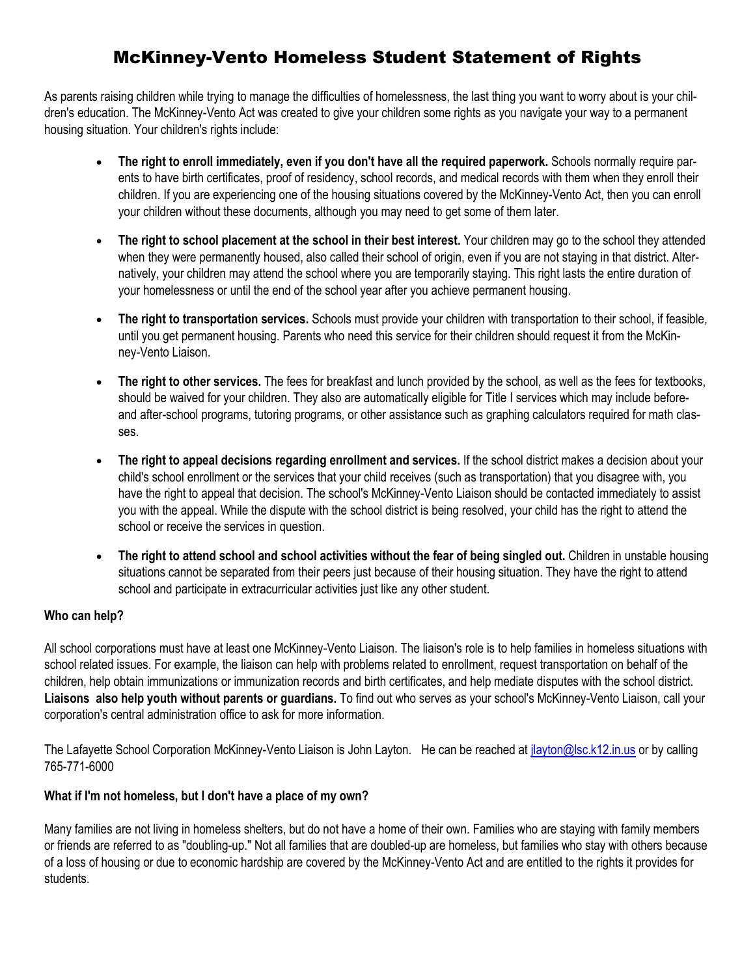# McKinney-Vento Homeless Student Statement of Rights

As parents raising children while trying to manage the difficulties of homelessness, the last thing you want to worry about is your children's education. The McKinney-Vento Act was created to give your children some rights as you navigate your way to a permanent housing situation. Your children's rights include:

- **The right to enroll immediately, even if you don't have all the required paperwork.** Schools normally require parents to have birth certificates, proof of residency, school records, and medical records with them when they enroll their children. If you are experiencing one of the housing situations covered by the McKinney-Vento Act, then you can enroll your children without these documents, although you may need to get some of them later.
- **The right to school placement at the school in their best interest.** Your children may go to the school they attended when they were permanently housed, also called their school of origin, even if you are not staying in that district. Alternatively, your children may attend the school where you are temporarily staying. This right lasts the entire duration of your homelessness or until the end of the school year after you achieve permanent housing.
- **The right to transportation services.** Schools must provide your children with transportation to their school, if feasible, until you get permanent housing. Parents who need this service for their children should request it from the McKinney-Vento Liaison.
- **The right to other services.** The fees for breakfast and lunch provided by the school, as well as the fees for textbooks, should be waived for your children. They also are automatically eligible for Title I services which may include beforeand after-school programs, tutoring programs, or other assistance such as graphing calculators required for math classes.
- **The right to appeal decisions regarding enrollment and services.** If the school district makes a decision about your child's school enrollment or the services that your child receives (such as transportation) that you disagree with, you have the right to appeal that decision. The school's McKinney-Vento Liaison should be contacted immediately to assist you with the appeal. While the dispute with the school district is being resolved, your child has the right to attend the school or receive the services in question.
- **The right to attend school and school activities without the fear of being singled out.** Children in unstable housing situations cannot be separated from their peers just because of their housing situation. They have the right to attend school and participate in extracurricular activities just like any other student.

#### **Who can help?**

All school corporations must have at least one McKinney-Vento Liaison. The liaison's role is to help families in homeless situations with school related issues. For example, the liaison can help with problems related to enrollment, request transportation on behalf of the children, help obtain immunizations or immunization records and birth certificates, and help mediate disputes with the school district. **Liaisons also help youth without parents or guardians.** To find out who serves as your school's McKinney-Vento Liaison, call your corporation's central administration office to ask for more information.

The Lafayette School Corporation McKinney-Vento Liaison is John Layton. He can be reached a[t jlayton@lsc.k12.in.us](mailto:jlayton@lsc.k12.in.us) or by calling 765-771-6000

#### **What if I'm not homeless, but I don't have a place of my own?**

Many families are not living in homeless shelters, but do not have a home of their own. Families who are staying with family members or friends are referred to as "doubling-up." Not all families that are doubled-up are homeless, but families who stay with others because of a loss of housing or due to economic hardship are covered by the McKinney-Vento Act and are entitled to the rights it provides for students.